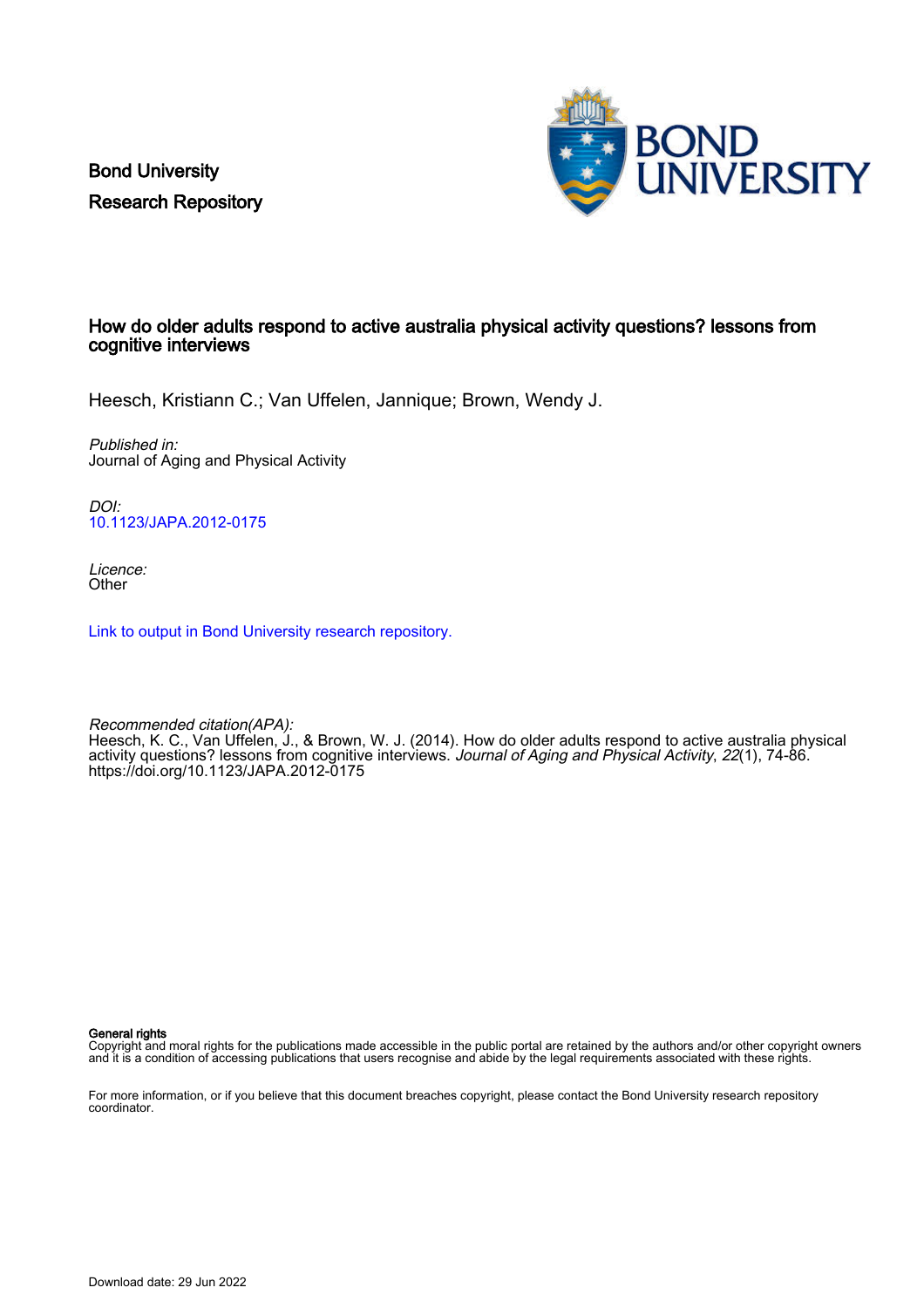Bond University Research Repository



# How do older adults respond to active australia physical activity questions? lessons from cognitive interviews

Heesch, Kristiann C.; Van Uffelen, Jannique; Brown, Wendy J.

Published in: Journal of Aging and Physical Activity

DOI: [10.1123/JAPA.2012-0175](https://doi.org/10.1123/JAPA.2012-0175)

Licence: **Other** 

[Link to output in Bond University research repository.](https://research.bond.edu.au/en/publications/b2add292-c54c-400d-8462-143e6e5beaed)

Recommended citation(APA): Heesch, K. C., Van Uffelen, J., & Brown, W. J. (2014). How do older adults respond to active australia physical activity questions? lessons from cognitive interviews. Journal of Aging and Physical Activity, 22(1), 74-86. <https://doi.org/10.1123/JAPA.2012-0175>

General rights

Copyright and moral rights for the publications made accessible in the public portal are retained by the authors and/or other copyright owners and it is a condition of accessing publications that users recognise and abide by the legal requirements associated with these rights.

For more information, or if you believe that this document breaches copyright, please contact the Bond University research repository coordinator.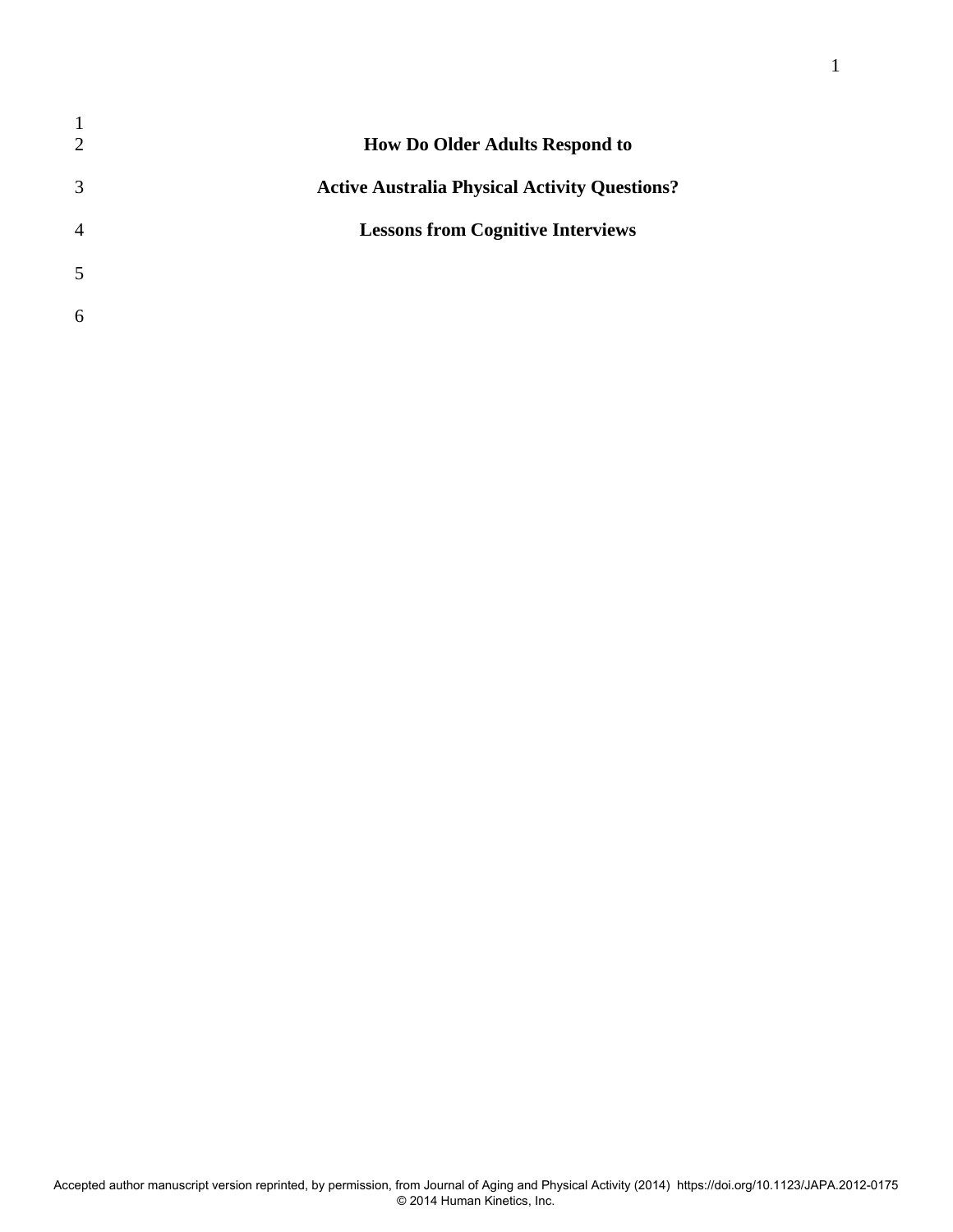| $\mathbf 1$<br>$\overline{2}$ | How Do Older Adults Respond to                       |
|-------------------------------|------------------------------------------------------|
| 3                             | <b>Active Australia Physical Activity Questions?</b> |
| $\overline{4}$                | <b>Lessons from Cognitive Interviews</b>             |
| 5                             |                                                      |
| 6                             |                                                      |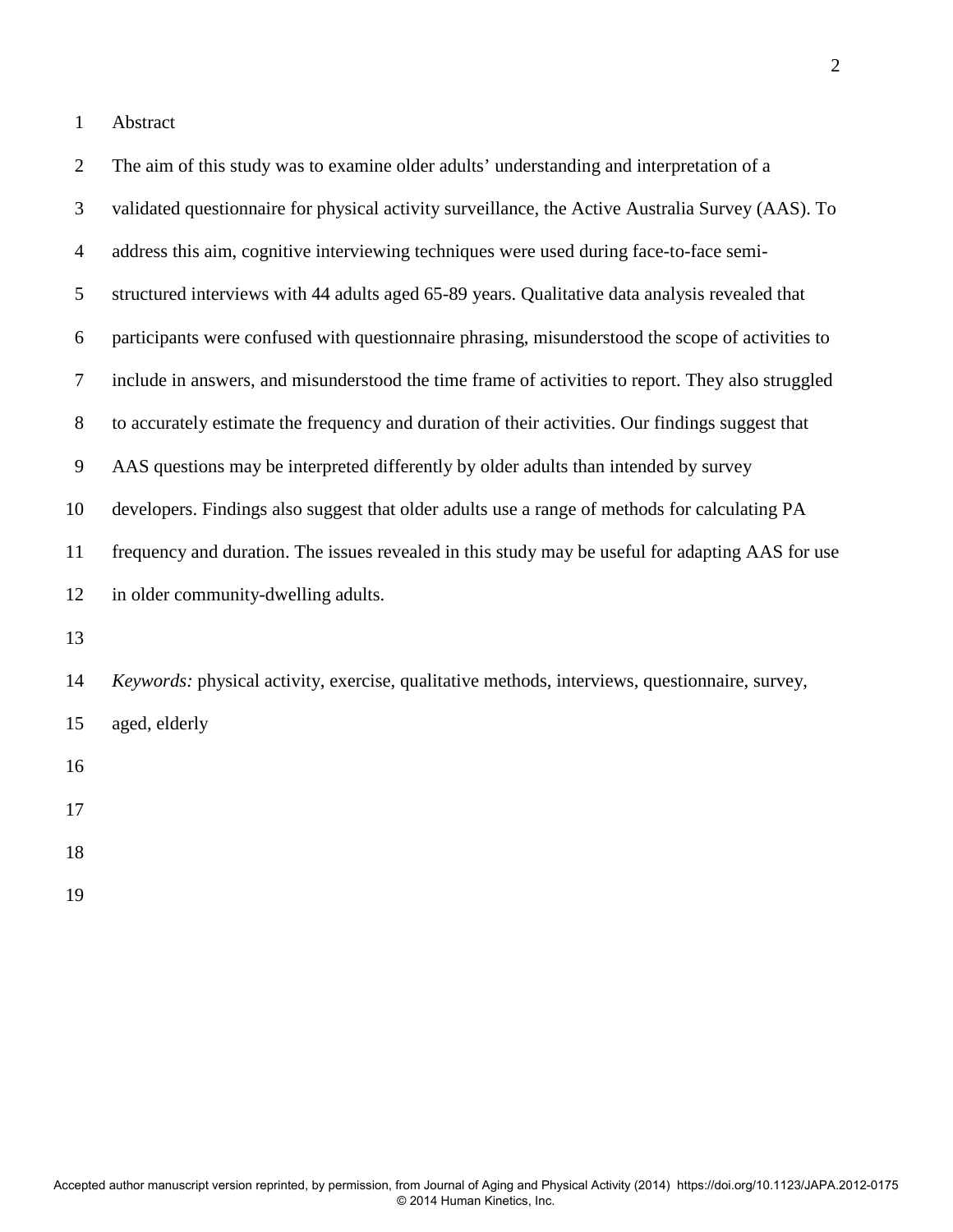1 Abstract

| $\overline{2}$ | The aim of this study was to examine older adults' understanding and interpretation of a          |
|----------------|---------------------------------------------------------------------------------------------------|
| 3              | validated questionnaire for physical activity surveillance, the Active Australia Survey (AAS). To |
| $\overline{4}$ | address this aim, cognitive interviewing techniques were used during face-to-face semi-           |
| 5              | structured interviews with 44 adults aged 65-89 years. Qualitative data analysis revealed that    |
| 6              | participants were confused with questionnaire phrasing, misunderstood the scope of activities to  |
| $\tau$         | include in answers, and misunderstood the time frame of activities to report. They also struggled |
| 8              | to accurately estimate the frequency and duration of their activities. Our findings suggest that  |
| 9              | AAS questions may be interpreted differently by older adults than intended by survey              |
| 10             | developers. Findings also suggest that older adults use a range of methods for calculating PA     |
| 11             | frequency and duration. The issues revealed in this study may be useful for adapting AAS for use  |
| 12             | in older community-dwelling adults.                                                               |
| 13             |                                                                                                   |
| 14             | Keywords: physical activity, exercise, qualitative methods, interviews, questionnaire, survey,    |
| 15             | aged, elderly                                                                                     |
| 16             |                                                                                                   |
| 17             |                                                                                                   |
| 18             |                                                                                                   |

19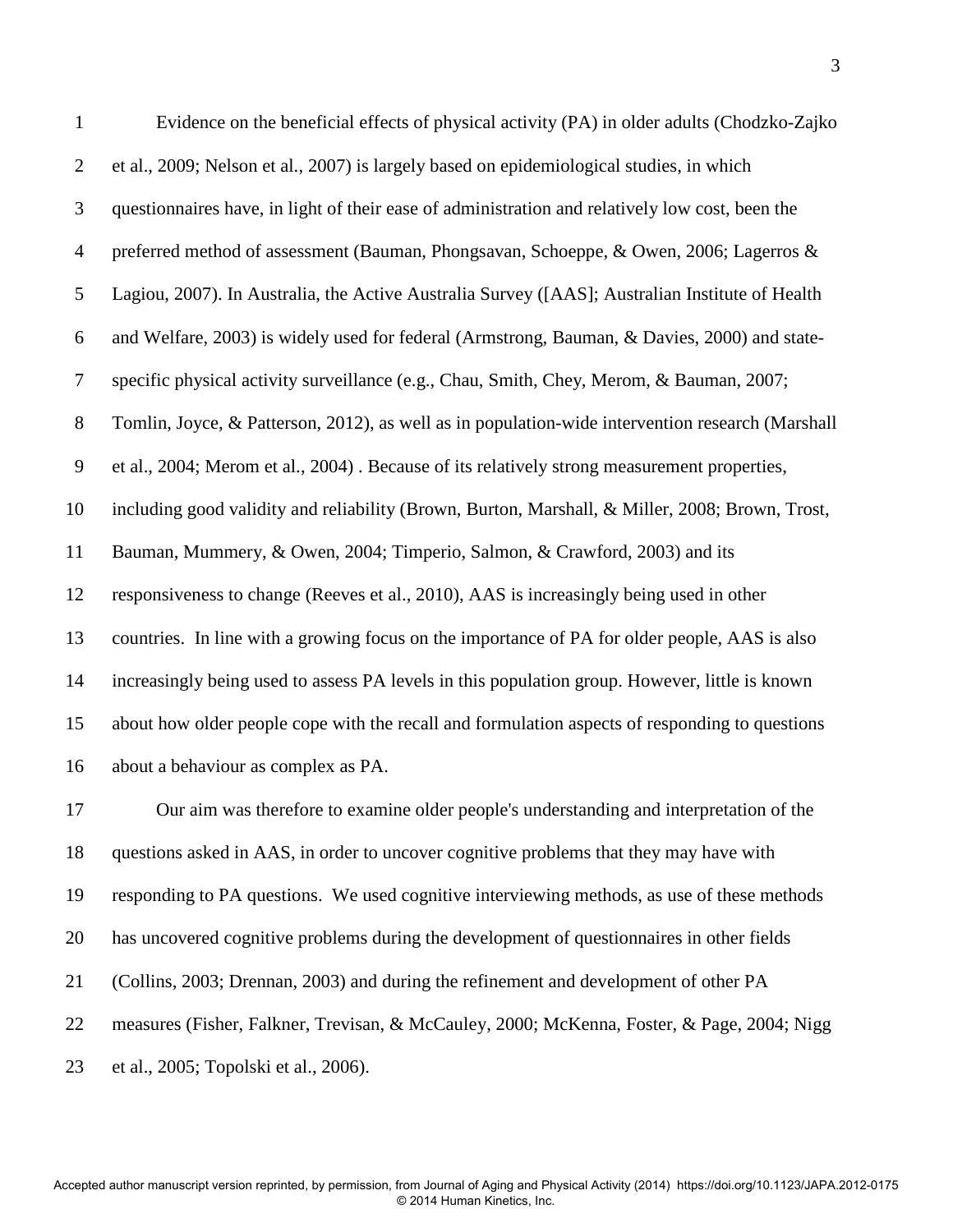| $\mathbf{1}$   | Evidence on the beneficial effects of physical activity (PA) in older adults (Chodzko-Zajko      |
|----------------|--------------------------------------------------------------------------------------------------|
| $\overline{2}$ | et al., 2009; Nelson et al., 2007) is largely based on epidemiological studies, in which         |
| 3              | questionnaires have, in light of their ease of administration and relatively low cost, been the  |
| $\overline{4}$ | preferred method of assessment (Bauman, Phongsavan, Schoeppe, & Owen, 2006; Lagerros &           |
| 5              | Lagiou, 2007). In Australia, the Active Australia Survey ([AAS]; Australian Institute of Health  |
| 6              | and Welfare, 2003) is widely used for federal (Armstrong, Bauman, & Davies, 2000) and state-     |
| $\tau$         | specific physical activity surveillance (e.g., Chau, Smith, Chey, Merom, & Bauman, 2007;         |
| $8\,$          | Tomlin, Joyce, & Patterson, 2012), as well as in population-wide intervention research (Marshall |
| 9              | et al., 2004; Merom et al., 2004). Because of its relatively strong measurement properties,      |
| 10             | including good validity and reliability (Brown, Burton, Marshall, & Miller, 2008; Brown, Trost,  |
| 11             | Bauman, Mummery, & Owen, 2004; Timperio, Salmon, & Crawford, 2003) and its                       |
| 12             | responsiveness to change (Reeves et al., 2010), AAS is increasingly being used in other          |
| 13             | countries. In line with a growing focus on the importance of PA for older people, AAS is also    |
| 14             | increasingly being used to assess PA levels in this population group. However, little is known   |
| 15             | about how older people cope with the recall and formulation aspects of responding to questions   |
| 16             | about a behaviour as complex as PA.                                                              |
| 17             | Our aim was therefore to examine older people's understanding and interpretation of the          |
| 18             | questions asked in AAS, in order to uncover cognitive problems that they may have with           |
| 19             | responding to PA questions. We used cognitive interviewing methods, as use of these methods      |
| 20             | has uncovered cognitive problems during the development of questionnaires in other fields        |
| 21             | (Collins, 2003; Drennan, 2003) and during the refinement and development of other PA             |
| 22             | measures (Fisher, Falkner, Trevisan, & McCauley, 2000; McKenna, Foster, & Page, 2004; Nigg       |

23 et al., 2005; Topolski et al., 2006).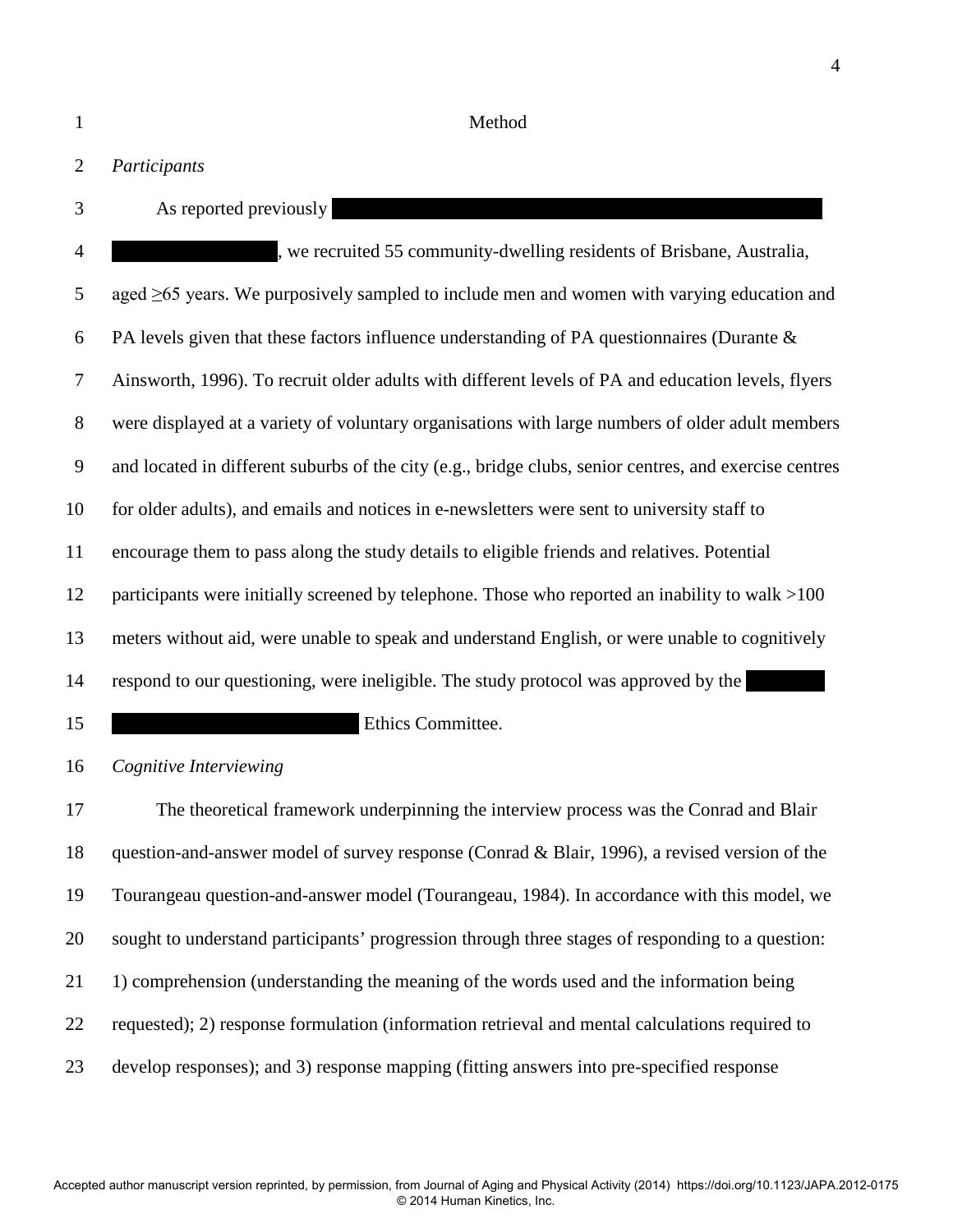1 Method

# 2 *Participants*

- 
- 3 As reported previously

4 https://we.we.u.e.u.id/2011/2011/2012/induction-server welling residents of Brisbane, Australia, 5 aged ≥65 years. We purposively sampled to include men and women with varying education and 6 PA levels given that these factors influence understanding of PA questionnaires (Durante  $\&$ 7 Ainsworth, 1996). To recruit older adults with different levels of PA and education levels, flyers 8 were displayed at a variety of voluntary organisations with large numbers of older adult members 9 and located in different suburbs of the city (e.g., bridge clubs, senior centres, and exercise centres 10 for older adults), and emails and notices in e-newsletters were sent to university staff to 11 encourage them to pass along the study details to eligible friends and relatives. Potential 12 participants were initially screened by telephone. Those who reported an inability to walk >100 13 meters without aid, were unable to speak and understand English, or were unable to cognitively 14 respond to our questioning, were ineligible. The study protocol was approved by the 15 **of Ethics Committee.** 

16 *Cognitive Interviewing* 

17 The theoretical framework underpinning the interview process was the Conrad and Blair 18 question-and-answer model of survey response (Conrad & Blair, 1996), a revised version of the 19 Tourangeau question-and-answer model (Tourangeau, 1984). In accordance with this model, we 20 sought to understand participants' progression through three stages of responding to a question: 21 1) comprehension (understanding the meaning of the words used and the information being 22 requested); 2) response formulation (information retrieval and mental calculations required to 23 develop responses); and 3) response mapping (fitting answers into pre-specified response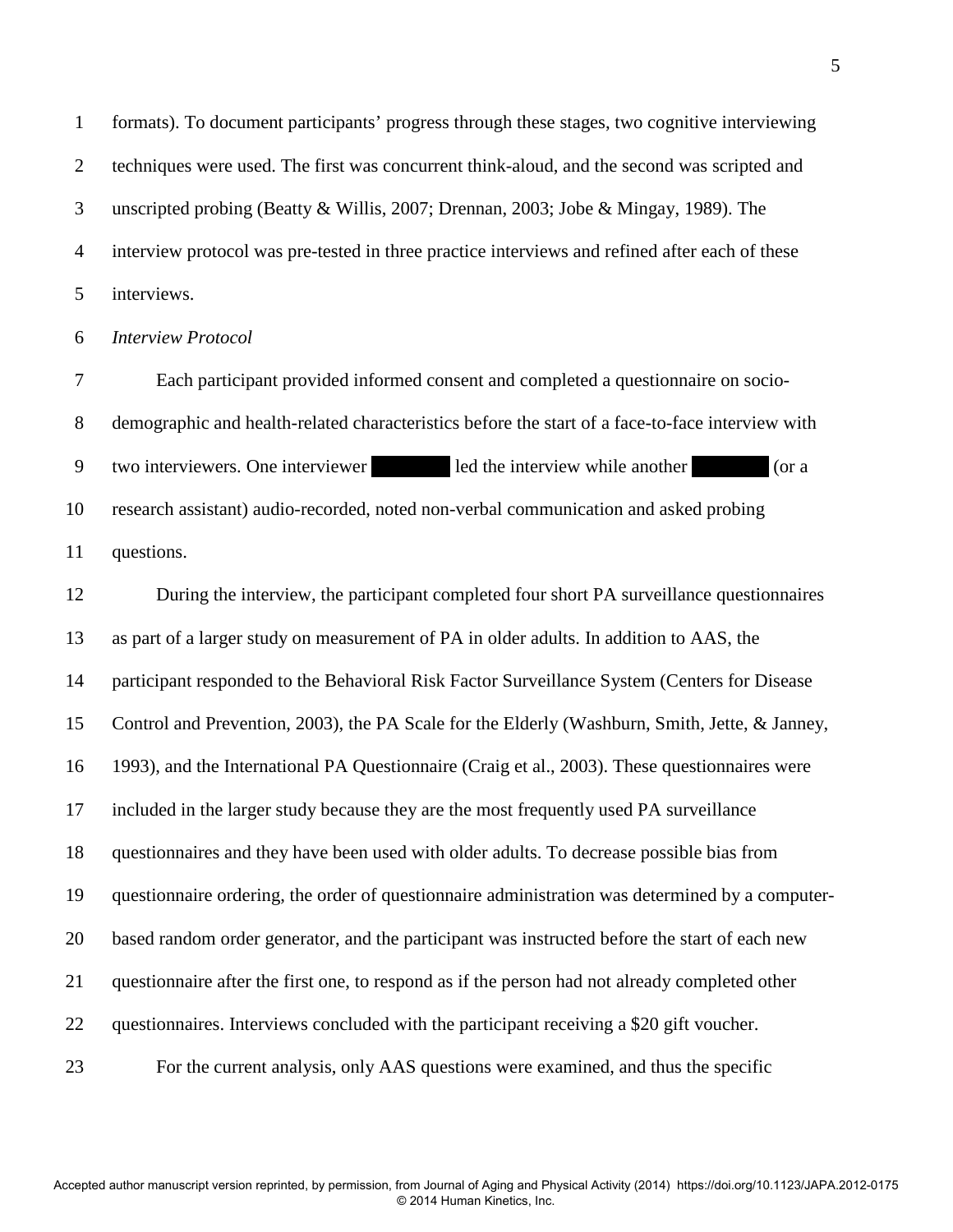1 formats). To document participants' progress through these stages, two cognitive interviewing 2 techniques were used. The first was concurrent think-aloud, and the second was scripted and 3 unscripted probing (Beatty & Willis, 2007; Drennan, 2003; Jobe & Mingay, 1989). The 4 interview protocol was pre-tested in three practice interviews and refined after each of these 5 interviews.

6 *Interview Protocol* 

7 Each participant provided informed consent and completed a questionnaire on socio-8 demographic and health-related characteristics before the start of a face-to-face interview with 9 two interviewers. One interviewer led the interview while another (or a 10 research assistant) audio-recorded, noted non-verbal communication and asked probing 11 questions.

12 During the interview, the participant completed four short PA surveillance questionnaires 13 as part of a larger study on measurement of PA in older adults. In addition to AAS, the 14 participant responded to the Behavioral Risk Factor Surveillance System (Centers for Disease 15 Control and Prevention, 2003), the PA Scale for the Elderly (Washburn, Smith, Jette, & Janney, 16 1993), and the International PA Questionnaire (Craig et al., 2003). These questionnaires were 17 included in the larger study because they are the most frequently used PA surveillance 18 questionnaires and they have been used with older adults. To decrease possible bias from 19 questionnaire ordering, the order of questionnaire administration was determined by a computer-20 based random order generator, and the participant was instructed before the start of each new 21 questionnaire after the first one, to respond as if the person had not already completed other 22 questionnaires. Interviews concluded with the participant receiving a \$20 gift voucher. 23 For the current analysis, only AAS questions were examined, and thus the specific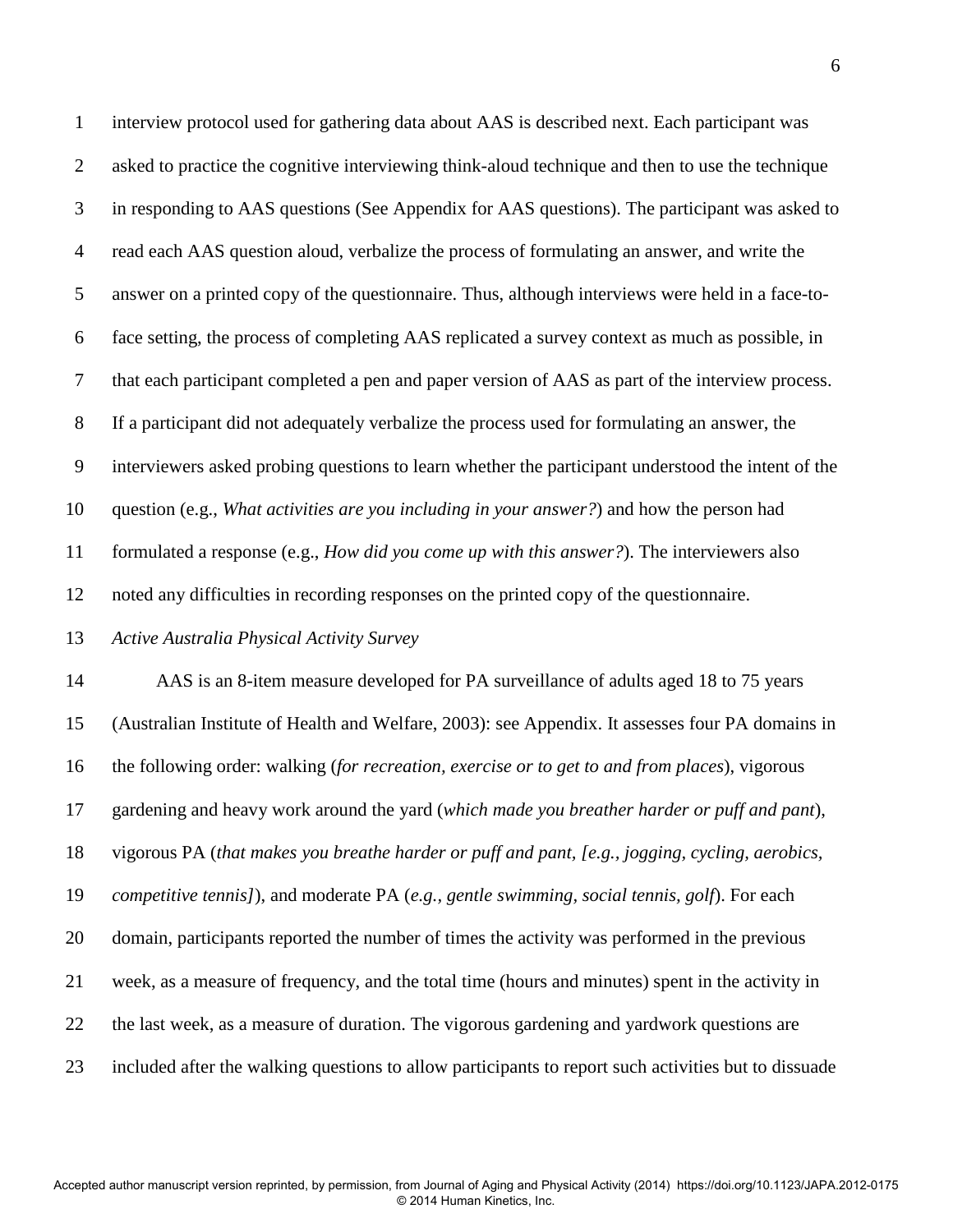1 interview protocol used for gathering data about AAS is described next. Each participant was 2 asked to practice the cognitive interviewing think-aloud technique and then to use the technique 3 in responding to AAS questions (See Appendix for AAS questions). The participant was asked to 4 read each AAS question aloud, verbalize the process of formulating an answer, and write the 5 answer on a printed copy of the questionnaire. Thus, although interviews were held in a face-to-6 face setting, the process of completing AAS replicated a survey context as much as possible, in 7 that each participant completed a pen and paper version of AAS as part of the interview process. 8 If a participant did not adequately verbalize the process used for formulating an answer, the 9 interviewers asked probing questions to learn whether the participant understood the intent of the 10 question (e.g., *What activities are you including in your answer?*) and how the person had 11 formulated a response (e.g., *How did you come up with this answer?*). The interviewers also 12 noted any difficulties in recording responses on the printed copy of the questionnaire. 13 *Active Australia Physical Activity Survey* 14 AAS is an 8-item measure developed for PA surveillance of adults aged 18 to 75 years 15 (Australian Institute of Health and Welfare, 2003): see Appendix. It assesses four PA domains in 16 the following order: walking (*for recreation, exercise or to get to and from places*), vigorous 17 gardening and heavy work around the yard (*which made you breather harder or puff and pant*), 18 vigorous PA (*that makes you breathe harder or puff and pant, [e.g., jogging, cycling, aerobics,* 

19 *competitive tennis]*), and moderate PA (*e.g., gentle swimming, social tennis, golf*). For each

20 domain, participants reported the number of times the activity was performed in the previous

21 week, as a measure of frequency, and the total time (hours and minutes) spent in the activity in

22 the last week, as a measure of duration. The vigorous gardening and yardwork questions are

23 included after the walking questions to allow participants to report such activities but to dissuade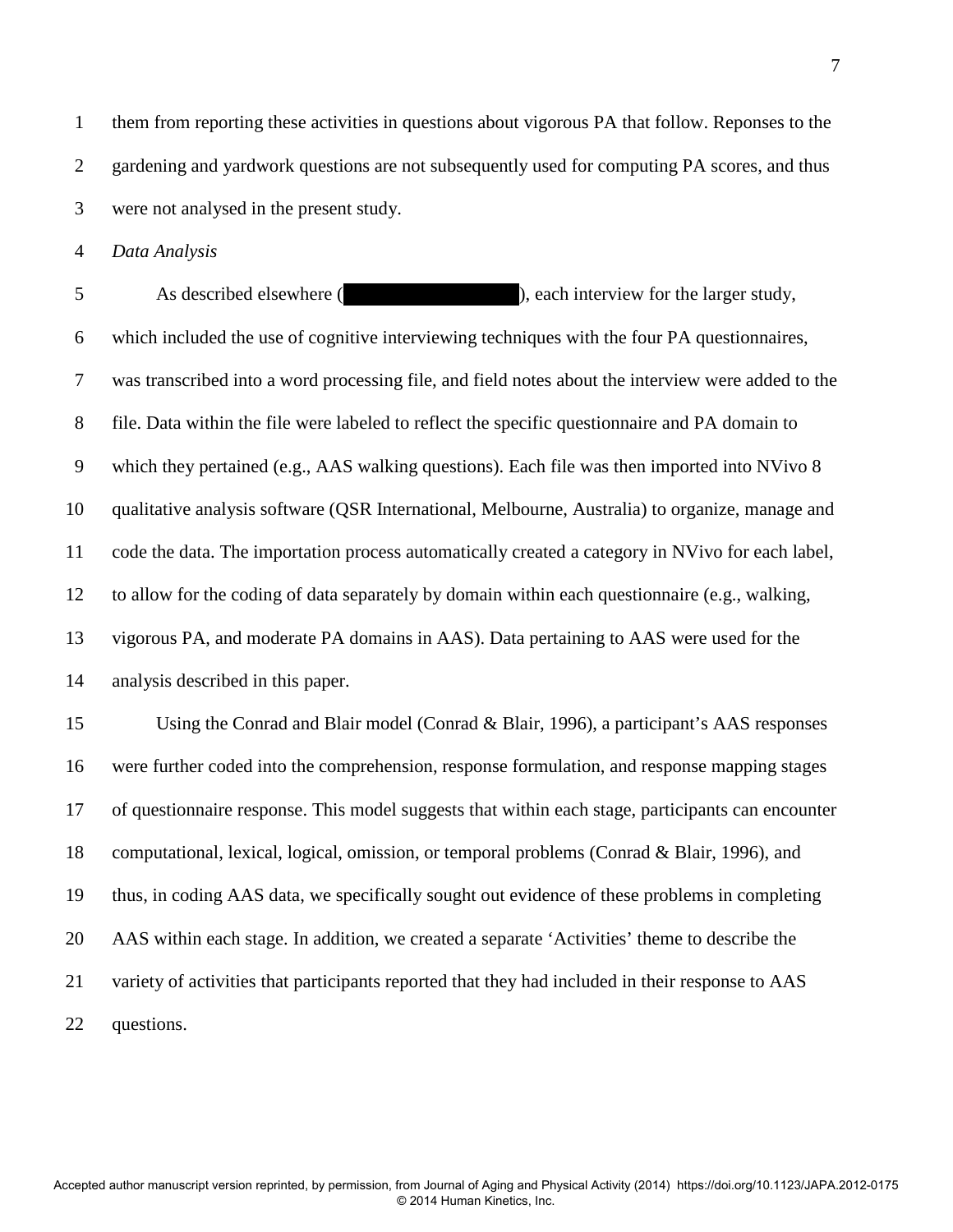1 them from reporting these activities in questions about vigorous PA that follow. Reponses to the 2 gardening and yardwork questions are not subsequently used for computing PA scores, and thus 3 were not analysed in the present study.

4 *Data Analysis* 

5 As described elsewhere (van Uffelen et al., 2011), each interview for the larger study, 6 which included the use of cognitive interviewing techniques with the four PA questionnaires, 7 was transcribed into a word processing file, and field notes about the interview were added to the 8 file. Data within the file were labeled to reflect the specific questionnaire and PA domain to 9 which they pertained (e.g., AAS walking questions). Each file was then imported into NVivo 8 10 qualitative analysis software (QSR International, Melbourne, Australia) to organize, manage and 11 code the data. The importation process automatically created a category in NVivo for each label, 12 to allow for the coding of data separately by domain within each questionnaire (e.g., walking, 13 vigorous PA, and moderate PA domains in AAS). Data pertaining to AAS were used for the 14 analysis described in this paper.

15 Using the Conrad and Blair model (Conrad & Blair, 1996), a participant's AAS responses 16 were further coded into the comprehension, response formulation, and response mapping stages 17 of questionnaire response. This model suggests that within each stage, participants can encounter 18 computational, lexical, logical, omission, or temporal problems (Conrad & Blair, 1996), and 19 thus, in coding AAS data, we specifically sought out evidence of these problems in completing 20 AAS within each stage. In addition, we created a separate 'Activities' theme to describe the 21 variety of activities that participants reported that they had included in their response to AAS 22 questions.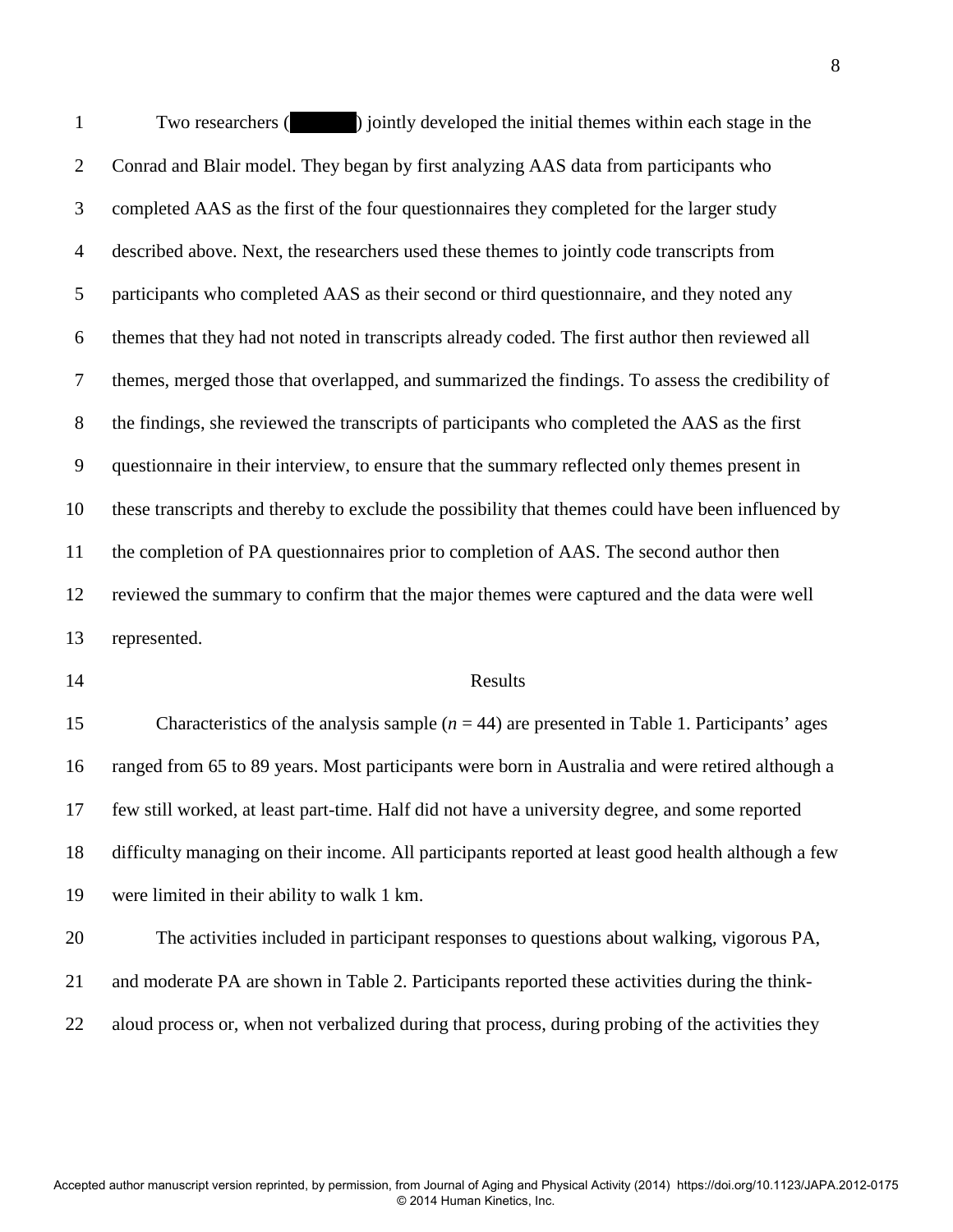1 Two researchers ( $\gamma$ ) jointly developed the initial themes within each stage in the 2 Conrad and Blair model. They began by first analyzing AAS data from participants who 3 completed AAS as the first of the four questionnaires they completed for the larger study 4 described above. Next, the researchers used these themes to jointly code transcripts from 5 participants who completed AAS as their second or third questionnaire, and they noted any 6 themes that they had not noted in transcripts already coded. The first author then reviewed all 7 themes, merged those that overlapped, and summarized the findings. To assess the credibility of 8 the findings, she reviewed the transcripts of participants who completed the AAS as the first 9 questionnaire in their interview, to ensure that the summary reflected only themes present in 10 these transcripts and thereby to exclude the possibility that themes could have been influenced by 11 the completion of PA questionnaires prior to completion of AAS. The second author then 12 reviewed the summary to confirm that the major themes were captured and the data were well 13 represented.

#### 14 Results

15 Characteristics of the analysis sample (*n* = 44) are presented in Table 1. Participants' ages 16 ranged from 65 to 89 years. Most participants were born in Australia and were retired although a 17 few still worked, at least part-time. Half did not have a university degree, and some reported 18 difficulty managing on their income. All participants reported at least good health although a few 19 were limited in their ability to walk 1 km.

20 The activities included in participant responses to questions about walking, vigorous PA, 21 and moderate PA are shown in Table 2. Participants reported these activities during the think-22 aloud process or, when not verbalized during that process, during probing of the activities they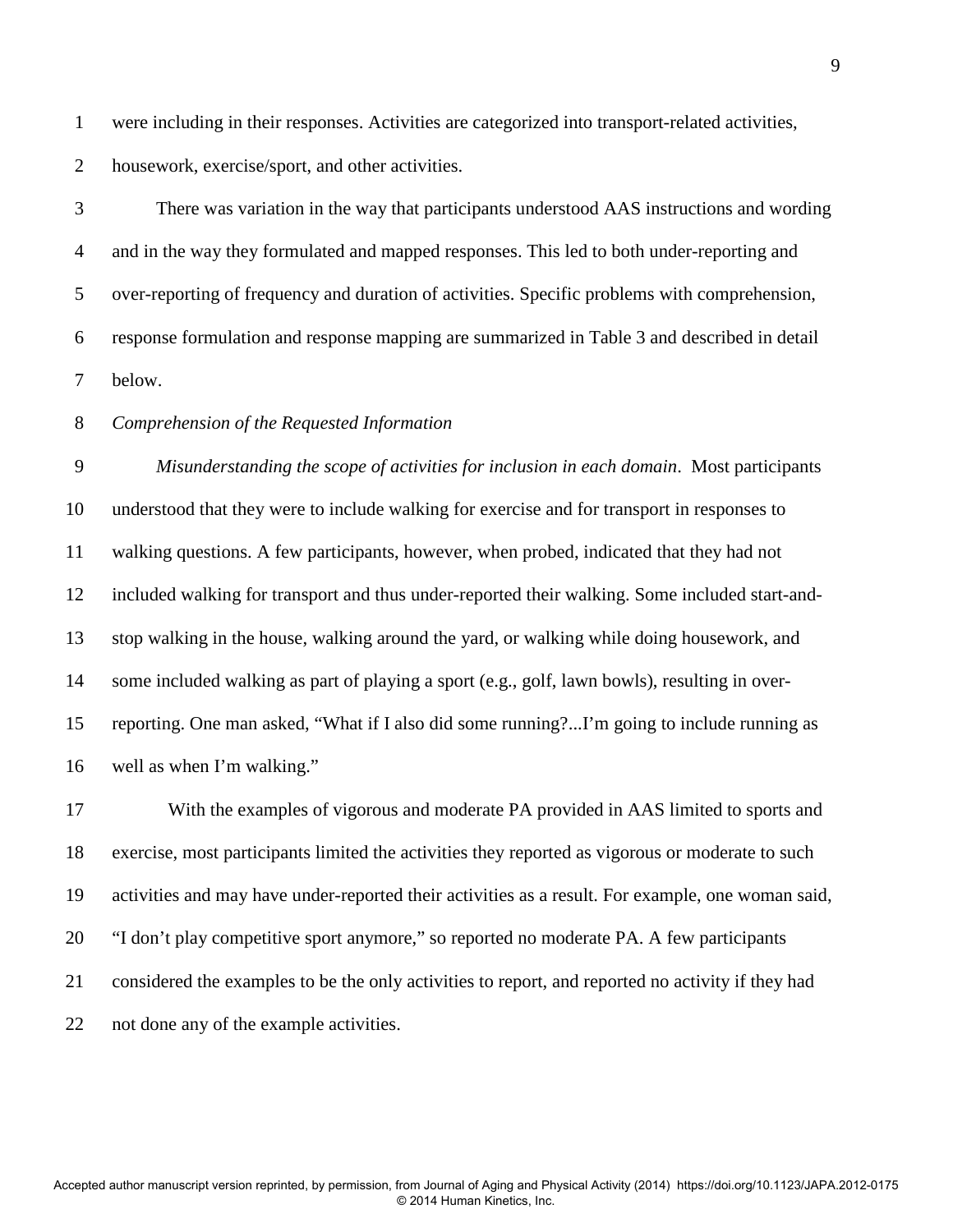1 were including in their responses. Activities are categorized into transport-related activities, 2 housework, exercise/sport, and other activities.

3 There was variation in the way that participants understood AAS instructions and wording 4 and in the way they formulated and mapped responses. This led to both under-reporting and 5 over-reporting of frequency and duration of activities. Specific problems with comprehension, 6 response formulation and response mapping are summarized in Table 3 and described in detail 7 below.

## 8 *Comprehension of the Requested Information*

9 *Misunderstanding the scope of activities for inclusion in each domain*. Most participants 10 understood that they were to include walking for exercise and for transport in responses to 11 walking questions. A few participants, however, when probed, indicated that they had not 12 included walking for transport and thus under-reported their walking. Some included start-and-13 stop walking in the house, walking around the yard, or walking while doing housework, and 14 some included walking as part of playing a sport (e.g., golf, lawn bowls), resulting in over-15 reporting. One man asked, "What if I also did some running?...I'm going to include running as 16 well as when I'm walking."

17 With the examples of vigorous and moderate PA provided in AAS limited to sports and 18 exercise, most participants limited the activities they reported as vigorous or moderate to such 19 activities and may have under-reported their activities as a result. For example, one woman said, 20 "I don't play competitive sport anymore," so reported no moderate PA. A few participants 21 considered the examples to be the only activities to report, and reported no activity if they had 22 not done any of the example activities.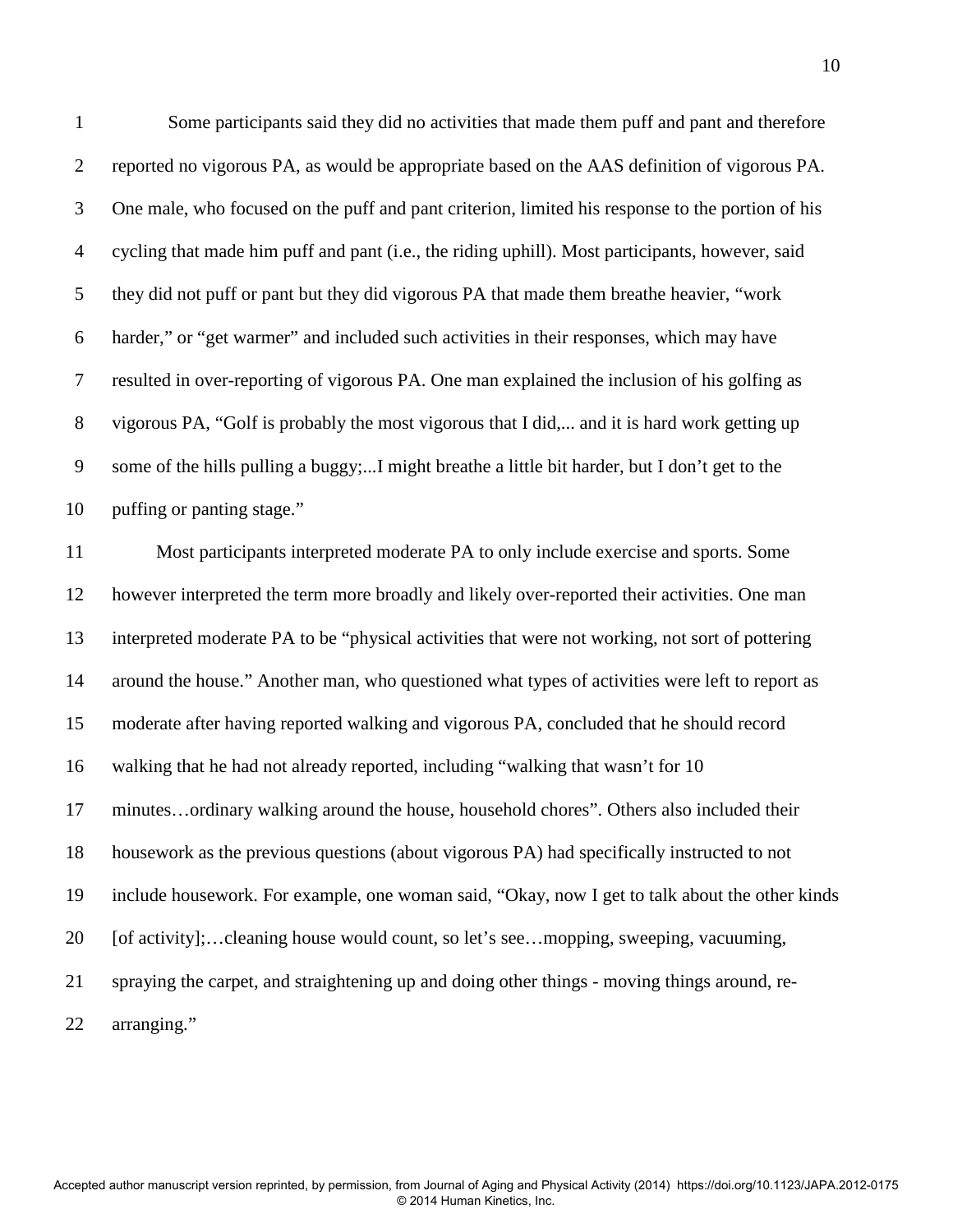1 Some participants said they did no activities that made them puff and pant and therefore 2 reported no vigorous PA, as would be appropriate based on the AAS definition of vigorous PA. 3 One male, who focused on the puff and pant criterion, limited his response to the portion of his 4 cycling that made him puff and pant (i.e., the riding uphill). Most participants, however, said 5 they did not puff or pant but they did vigorous PA that made them breathe heavier, "work 6 harder," or "get warmer" and included such activities in their responses, which may have 7 resulted in over-reporting of vigorous PA. One man explained the inclusion of his golfing as 8 vigorous PA, "Golf is probably the most vigorous that I did,... and it is hard work getting up 9 some of the hills pulling a buggy;...I might breathe a little bit harder, but I don't get to the 10 puffing or panting stage."

11 Most participants interpreted moderate PA to only include exercise and sports. Some 12 however interpreted the term more broadly and likely over-reported their activities. One man 13 interpreted moderate PA to be "physical activities that were not working, not sort of pottering 14 around the house." Another man, who questioned what types of activities were left to report as 15 moderate after having reported walking and vigorous PA, concluded that he should record 16 walking that he had not already reported, including "walking that wasn't for 10 17 minutes…ordinary walking around the house, household chores". Others also included their 18 housework as the previous questions (about vigorous PA) had specifically instructed to not 19 include housework. For example, one woman said, "Okay, now I get to talk about the other kinds 20 [of activity];…cleaning house would count, so let's see…mopping, sweeping, vacuuming, 21 spraying the carpet, and straightening up and doing other things - moving things around, re-22 arranging."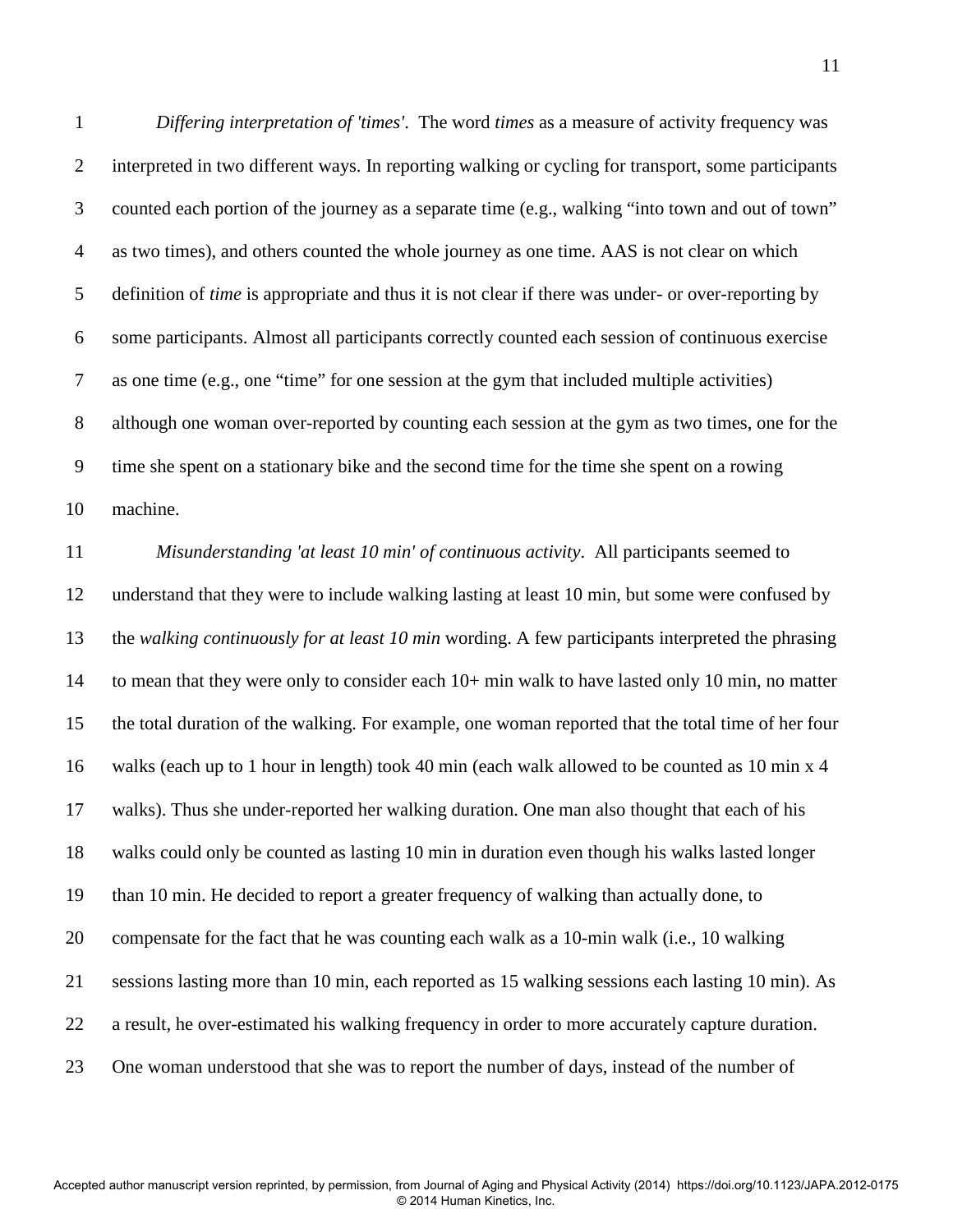1 *Differing interpretation of 'times'*. The word *times* as a measure of activity frequency was 2 interpreted in two different ways. In reporting walking or cycling for transport, some participants 3 counted each portion of the journey as a separate time (e.g., walking "into town and out of town" 4 as two times), and others counted the whole journey as one time. AAS is not clear on which 5 definition of *time* is appropriate and thus it is not clear if there was under- or over-reporting by 6 some participants. Almost all participants correctly counted each session of continuous exercise 7 as one time (e.g., one "time" for one session at the gym that included multiple activities) 8 although one woman over-reported by counting each session at the gym as two times, one for the 9 time she spent on a stationary bike and the second time for the time she spent on a rowing 10 machine.

11 *Misunderstanding 'at least 10 min' of continuous activity*. All participants seemed to 12 understand that they were to include walking lasting at least 10 min, but some were confused by 13 the *walking continuously for at least 10 min* wording. A few participants interpreted the phrasing 14 to mean that they were only to consider each 10+ min walk to have lasted only 10 min, no matter 15 the total duration of the walking. For example, one woman reported that the total time of her four 16 walks (each up to 1 hour in length) took 40 min (each walk allowed to be counted as 10 min x 4 17 walks). Thus she under-reported her walking duration. One man also thought that each of his 18 walks could only be counted as lasting 10 min in duration even though his walks lasted longer 19 than 10 min. He decided to report a greater frequency of walking than actually done, to 20 compensate for the fact that he was counting each walk as a 10-min walk (i.e., 10 walking 21 sessions lasting more than 10 min, each reported as 15 walking sessions each lasting 10 min). As 22 a result, he over-estimated his walking frequency in order to more accurately capture duration. 23 One woman understood that she was to report the number of days, instead of the number of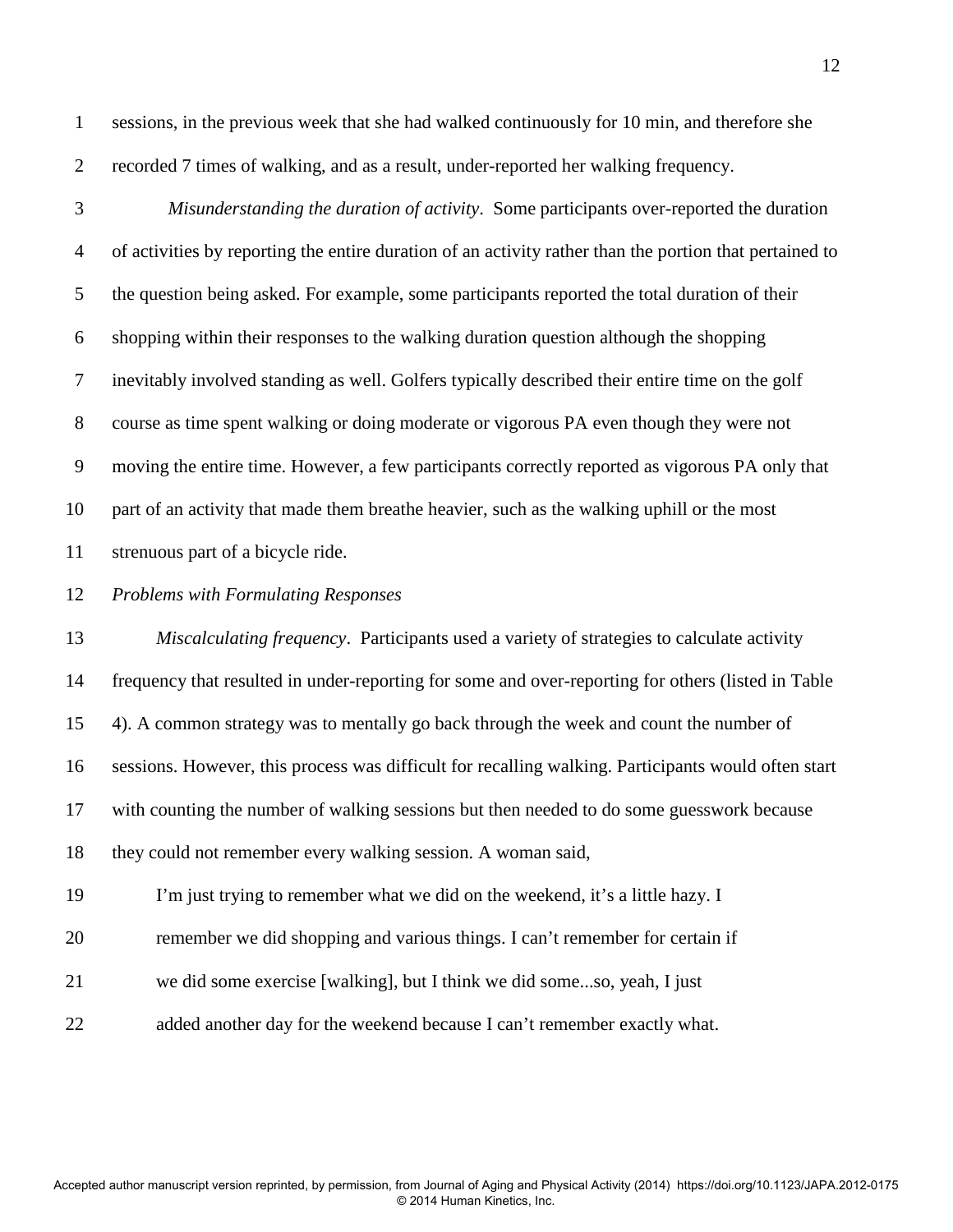1 sessions, in the previous week that she had walked continuously for 10 min, and therefore she 2 recorded 7 times of walking, and as a result, under-reported her walking frequency.

3 *Misunderstanding the duration of activity*. Some participants over-reported the duration 4 of activities by reporting the entire duration of an activity rather than the portion that pertained to 5 the question being asked. For example, some participants reported the total duration of their 6 shopping within their responses to the walking duration question although the shopping 7 inevitably involved standing as well. Golfers typically described their entire time on the golf 8 course as time spent walking or doing moderate or vigorous PA even though they were not 9 moving the entire time. However, a few participants correctly reported as vigorous PA only that 10 part of an activity that made them breathe heavier, such as the walking uphill or the most 11 strenuous part of a bicycle ride.

12 *Problems with Formulating Responses* 

13 *Miscalculating frequency*. Participants used a variety of strategies to calculate activity 14 frequency that resulted in under-reporting for some and over-reporting for others (listed in Table 15 4). A common strategy was to mentally go back through the week and count the number of 16 sessions. However, this process was difficult for recalling walking. Participants would often start 17 with counting the number of walking sessions but then needed to do some guesswork because 18 they could not remember every walking session. A woman said, 19 I'm just trying to remember what we did on the weekend, it's a little hazy. I 20 remember we did shopping and various things. I can't remember for certain if 21 we did some exercise [walking], but I think we did some...so, yeah, I just

22 added another day for the weekend because I can't remember exactly what.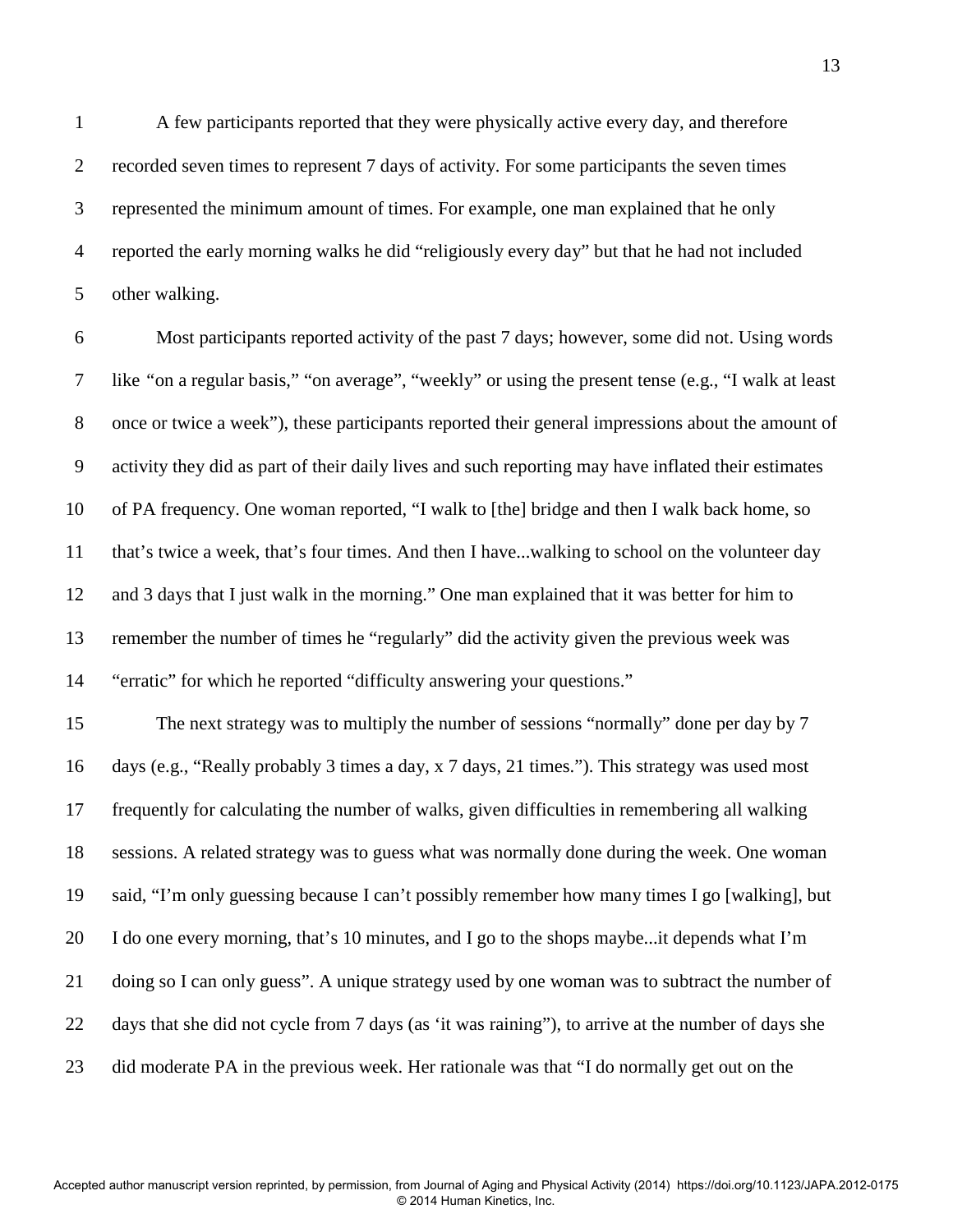1 A few participants reported that they were physically active every day, and therefore 2 recorded seven times to represent 7 days of activity. For some participants the seven times 3 represented the minimum amount of times. For example, one man explained that he only 4 reported the early morning walks he did "religiously every day" but that he had not included 5 other walking.

6 Most participants reported activity of the past 7 days; however, some did not. Using words 7 like *"*on a regular basis," "on average", "weekly" or using the present tense (e.g., "I walk at least 8 once or twice a week"), these participants reported their general impressions about the amount of 9 activity they did as part of their daily lives and such reporting may have inflated their estimates 10 of PA frequency. One woman reported, "I walk to [the] bridge and then I walk back home, so 11 that's twice a week, that's four times. And then I have...walking to school on the volunteer day 12 and 3 days that I just walk in the morning." One man explained that it was better for him to 13 remember the number of times he "regularly" did the activity given the previous week was 14 "erratic" for which he reported "difficulty answering your questions."

15 The next strategy was to multiply the number of sessions "normally" done per day by 7 16 days (e.g., "Really probably 3 times a day, x 7 days, 21 times."). This strategy was used most 17 frequently for calculating the number of walks, given difficulties in remembering all walking 18 sessions. A related strategy was to guess what was normally done during the week. One woman 19 said, "I'm only guessing because I can't possibly remember how many times I go [walking], but 20 I do one every morning, that's 10 minutes, and I go to the shops maybe...it depends what I'm 21 doing so I can only guess". A unique strategy used by one woman was to subtract the number of 22 days that she did not cycle from 7 days (as 'it was raining"), to arrive at the number of days she 23 did moderate PA in the previous week. Her rationale was that "I do normally get out on the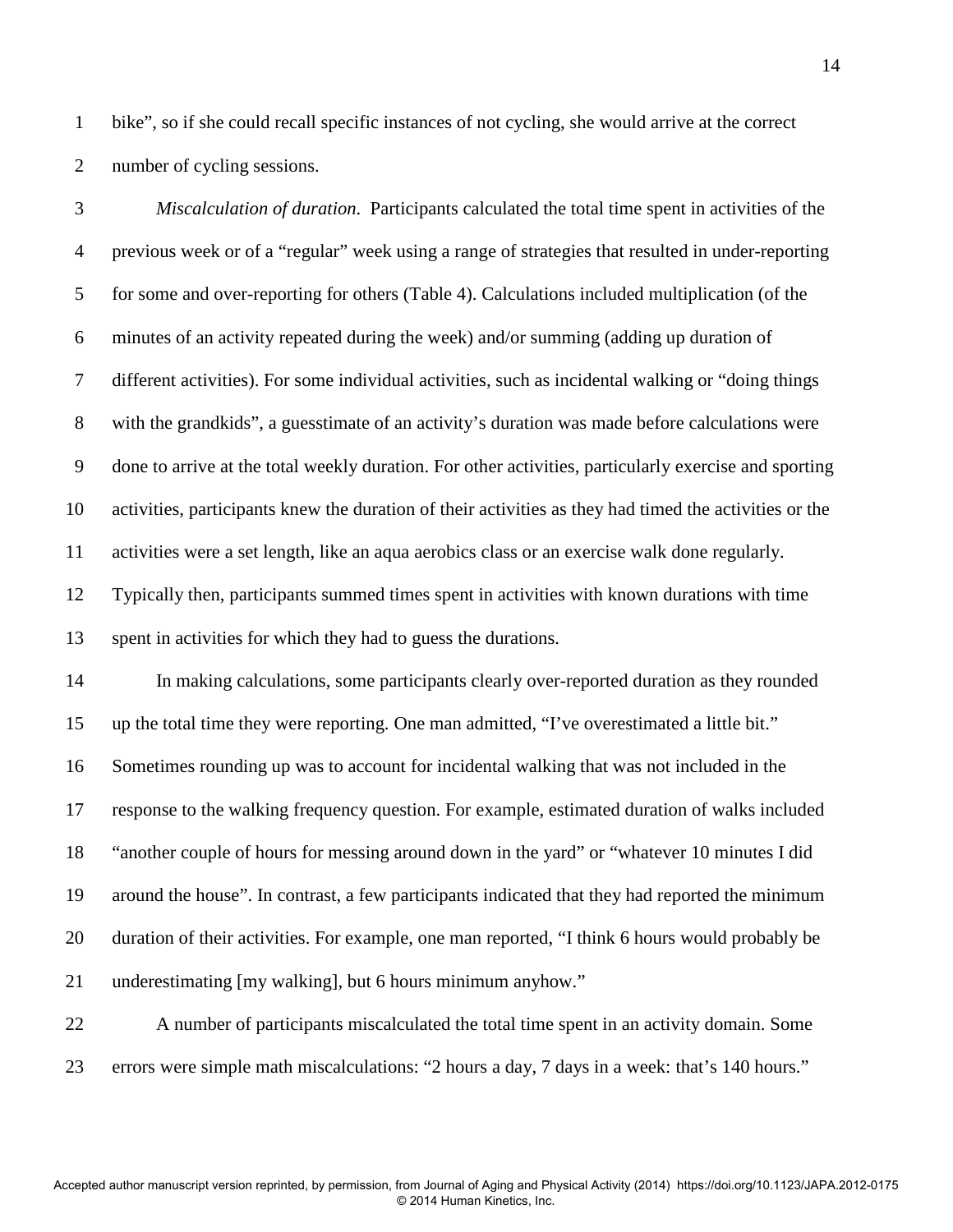1 bike", so if she could recall specific instances of not cycling, she would arrive at the correct 2 number of cycling sessions.

3 *Miscalculation of duration*. Participants calculated the total time spent in activities of the 4 previous week or of a "regular" week using a range of strategies that resulted in under-reporting 5 for some and over-reporting for others (Table 4). Calculations included multiplication (of the 6 minutes of an activity repeated during the week) and/or summing (adding up duration of 7 different activities). For some individual activities, such as incidental walking or "doing things 8 with the grandkids", a guesstimate of an activity's duration was made before calculations were 9 done to arrive at the total weekly duration. For other activities, particularly exercise and sporting 10 activities, participants knew the duration of their activities as they had timed the activities or the 11 activities were a set length, like an aqua aerobics class or an exercise walk done regularly. 12 Typically then, participants summed times spent in activities with known durations with time 13 spent in activities for which they had to guess the durations.

14 In making calculations, some participants clearly over-reported duration as they rounded 15 up the total time they were reporting. One man admitted, "I've overestimated a little bit." 16 Sometimes rounding up was to account for incidental walking that was not included in the 17 response to the walking frequency question. For example, estimated duration of walks included 18 "another couple of hours for messing around down in the yard" or "whatever 10 minutes I did 19 around the house". In contrast, a few participants indicated that they had reported the minimum 20 duration of their activities. For example, one man reported, "I think 6 hours would probably be 21 underestimating [my walking], but 6 hours minimum anyhow."

22 A number of participants miscalculated the total time spent in an activity domain. Some 23 errors were simple math miscalculations: "2 hours a day, 7 days in a week: that's 140 hours."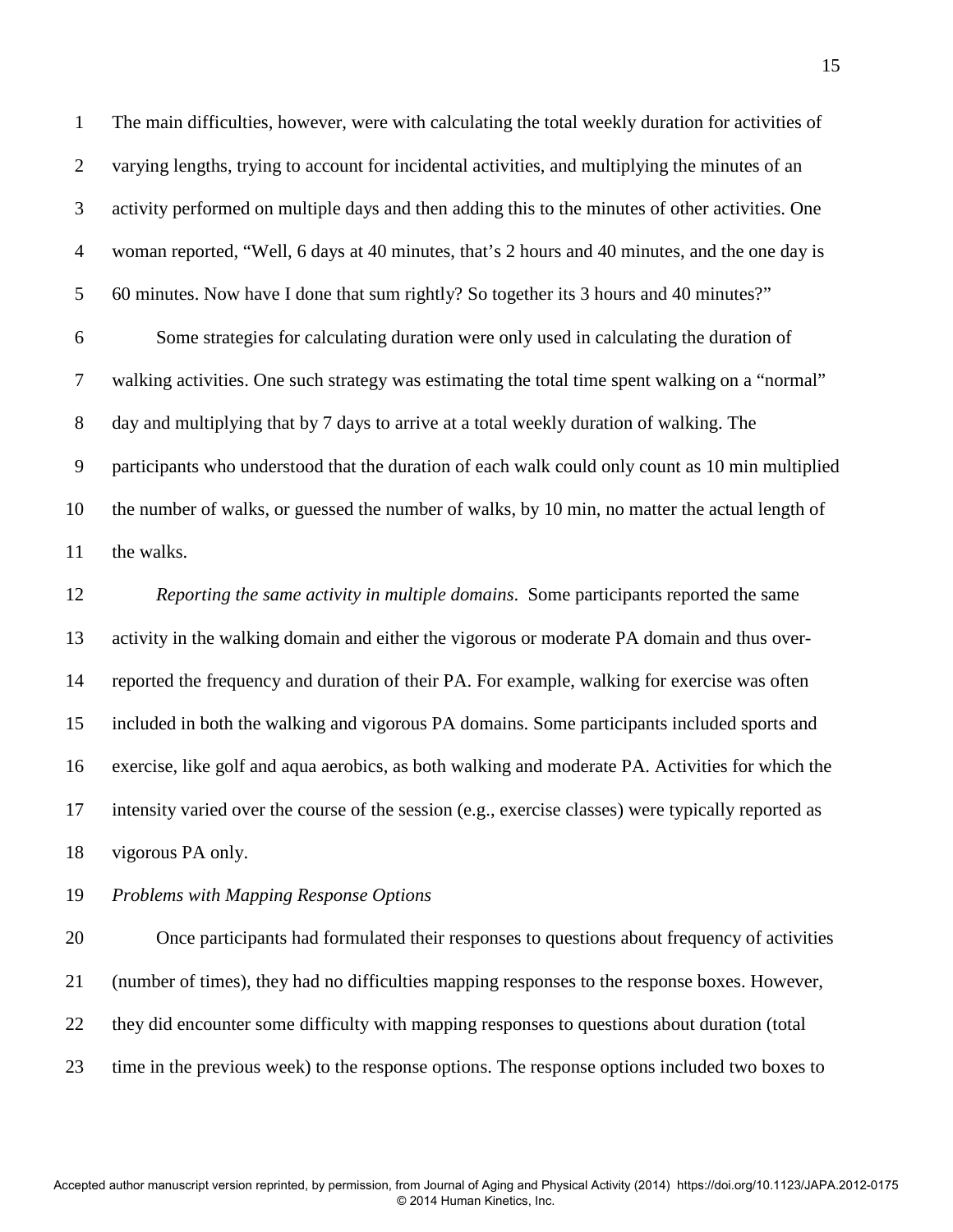1 The main difficulties, however, were with calculating the total weekly duration for activities of 2 varying lengths, trying to account for incidental activities, and multiplying the minutes of an 3 activity performed on multiple days and then adding this to the minutes of other activities. One 4 woman reported, "Well, 6 days at 40 minutes, that's 2 hours and 40 minutes, and the one day is 5 60 minutes. Now have I done that sum rightly? So together its 3 hours and 40 minutes?"

6 Some strategies for calculating duration were only used in calculating the duration of 7 walking activities. One such strategy was estimating the total time spent walking on a "normal" 8 day and multiplying that by 7 days to arrive at a total weekly duration of walking. The 9 participants who understood that the duration of each walk could only count as 10 min multiplied 10 the number of walks, or guessed the number of walks, by 10 min, no matter the actual length of 11 the walks.

12 *Reporting the same activity in multiple domains*. Some participants reported the same 13 activity in the walking domain and either the vigorous or moderate PA domain and thus over-14 reported the frequency and duration of their PA. For example, walking for exercise was often 15 included in both the walking and vigorous PA domains. Some participants included sports and 16 exercise, like golf and aqua aerobics, as both walking and moderate PA. Activities for which the 17 intensity varied over the course of the session (e.g., exercise classes) were typically reported as 18 vigorous PA only.

#### 19 *Problems with Mapping Response Options*

20 Once participants had formulated their responses to questions about frequency of activities 21 (number of times), they had no difficulties mapping responses to the response boxes. However, 22 they did encounter some difficulty with mapping responses to questions about duration (total 23 time in the previous week) to the response options. The response options included two boxes to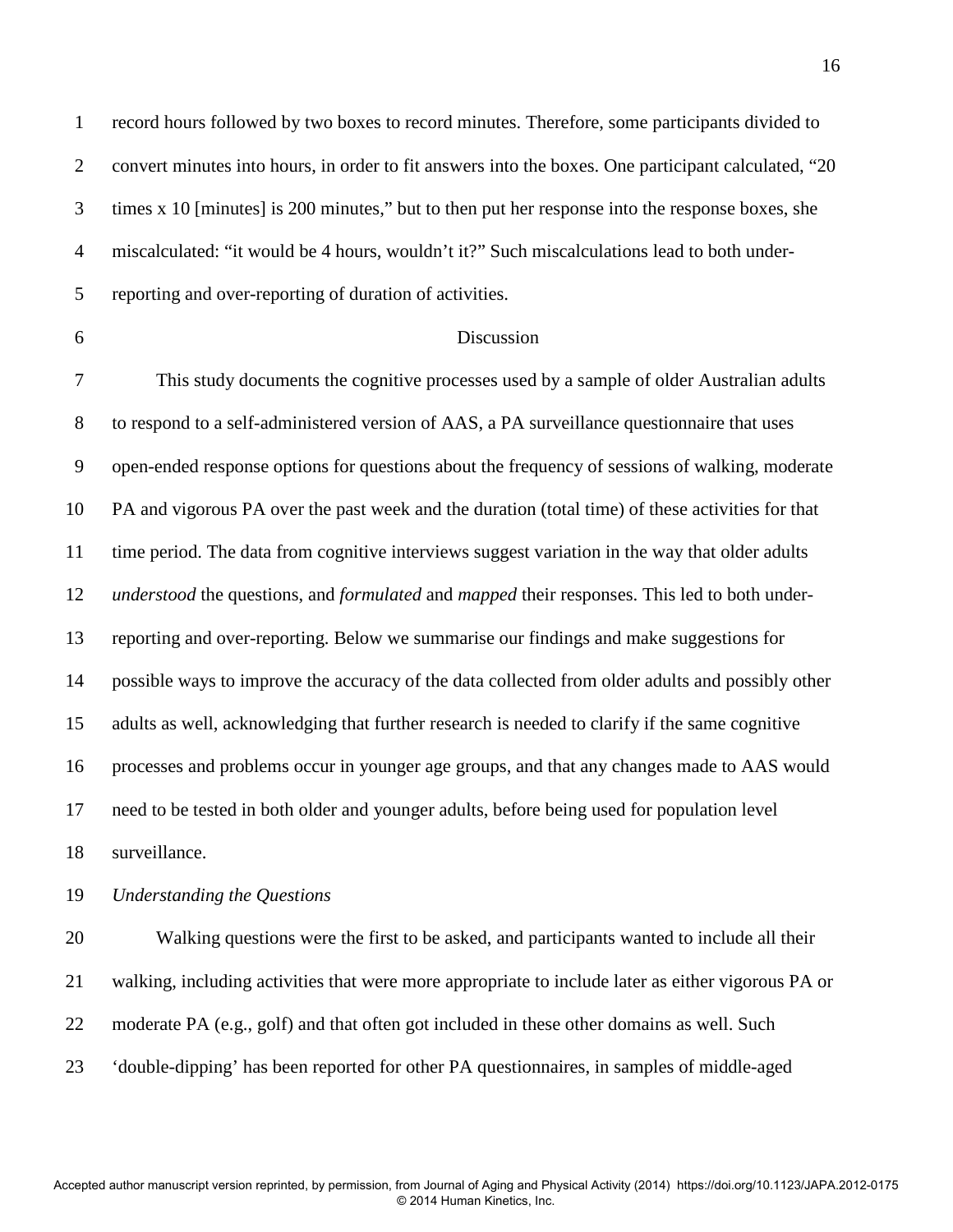1 record hours followed by two boxes to record minutes. Therefore, some participants divided to 2 convert minutes into hours, in order to fit answers into the boxes. One participant calculated, "20 3 times x 10 [minutes] is 200 minutes," but to then put her response into the response boxes, she 4 miscalculated: "it would be 4 hours, wouldn't it?" Such miscalculations lead to both under-5 reporting and over-reporting of duration of activities.

### 6 Discussion

7 This study documents the cognitive processes used by a sample of older Australian adults 8 to respond to a self-administered version of AAS, a PA surveillance questionnaire that uses 9 open-ended response options for questions about the frequency of sessions of walking, moderate 10 PA and vigorous PA over the past week and the duration (total time) of these activities for that 11 time period. The data from cognitive interviews suggest variation in the way that older adults 12 *understood* the questions, and *formulated* and *mapped* their responses. This led to both under-13 reporting and over-reporting. Below we summarise our findings and make suggestions for 14 possible ways to improve the accuracy of the data collected from older adults and possibly other 15 adults as well, acknowledging that further research is needed to clarify if the same cognitive 16 processes and problems occur in younger age groups, and that any changes made to AAS would 17 need to be tested in both older and younger adults, before being used for population level 18 surveillance.

19 *Understanding the Questions* 

20 Walking questions were the first to be asked, and participants wanted to include all their 21 walking, including activities that were more appropriate to include later as either vigorous PA or 22 moderate PA (e.g., golf) and that often got included in these other domains as well. Such 23 'double-dipping' has been reported for other PA questionnaires, in samples of middle-aged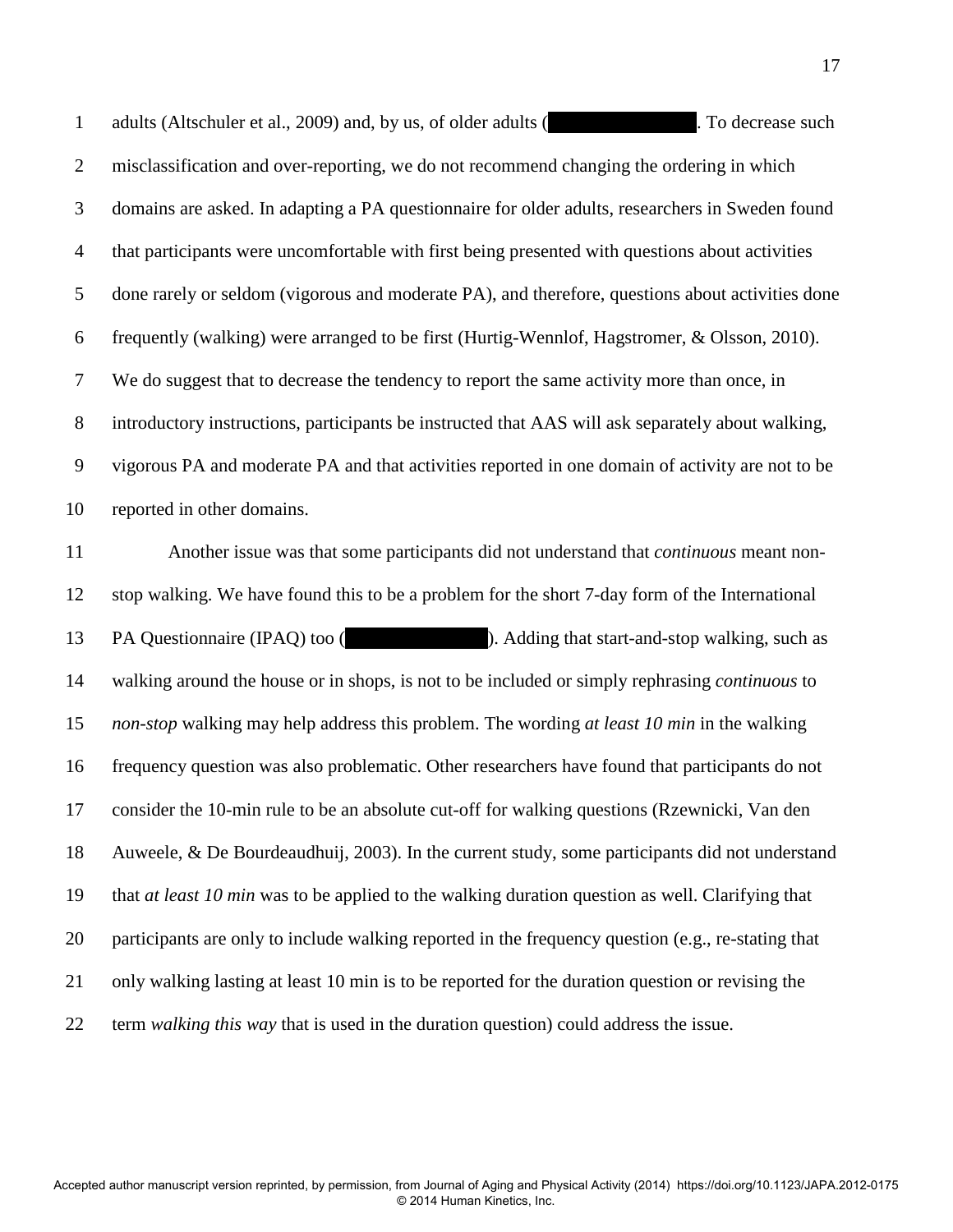1 adults (Altschuler et al., 2009) and, by us, of older adults (Hersch et al., 2009). To decrease such 2 misclassification and over-reporting, we do not recommend changing the ordering in which 3 domains are asked. In adapting a PA questionnaire for older adults, researchers in Sweden found 4 that participants were uncomfortable with first being presented with questions about activities 5 done rarely or seldom (vigorous and moderate PA), and therefore, questions about activities done 6 frequently (walking) were arranged to be first (Hurtig-Wennlof, Hagstromer, & Olsson, 2010). 7 We do suggest that to decrease the tendency to report the same activity more than once, in 8 introductory instructions, participants be instructed that AAS will ask separately about walking, 9 vigorous PA and moderate PA and that activities reported in one domain of activity are not to be 10 reported in other domains.

11 Another issue was that some participants did not understand that *continuous* meant non-12 stop walking. We have found this to be a problem for the short 7-day form of the International 13 PA Questionnaire (IPAQ) too (helenalism et al., 2010). Adding that start-and-stop walking, such as 14 walking around the house or in shops, is not to be included or simply rephrasing *continuous* to 15 *non-stop* walking may help address this problem. The wording *at least 10 min* in the walking 16 frequency question was also problematic. Other researchers have found that participants do not 17 consider the 10-min rule to be an absolute cut-off for walking questions (Rzewnicki, Van den 18 Auweele, & De Bourdeaudhuij, 2003). In the current study, some participants did not understand 19 that *at least 10 min* was to be applied to the walking duration question as well. Clarifying that 20 participants are only to include walking reported in the frequency question (e.g., re-stating that 21 only walking lasting at least 10 min is to be reported for the duration question or revising the 22 term *walking this way* that is used in the duration question) could address the issue.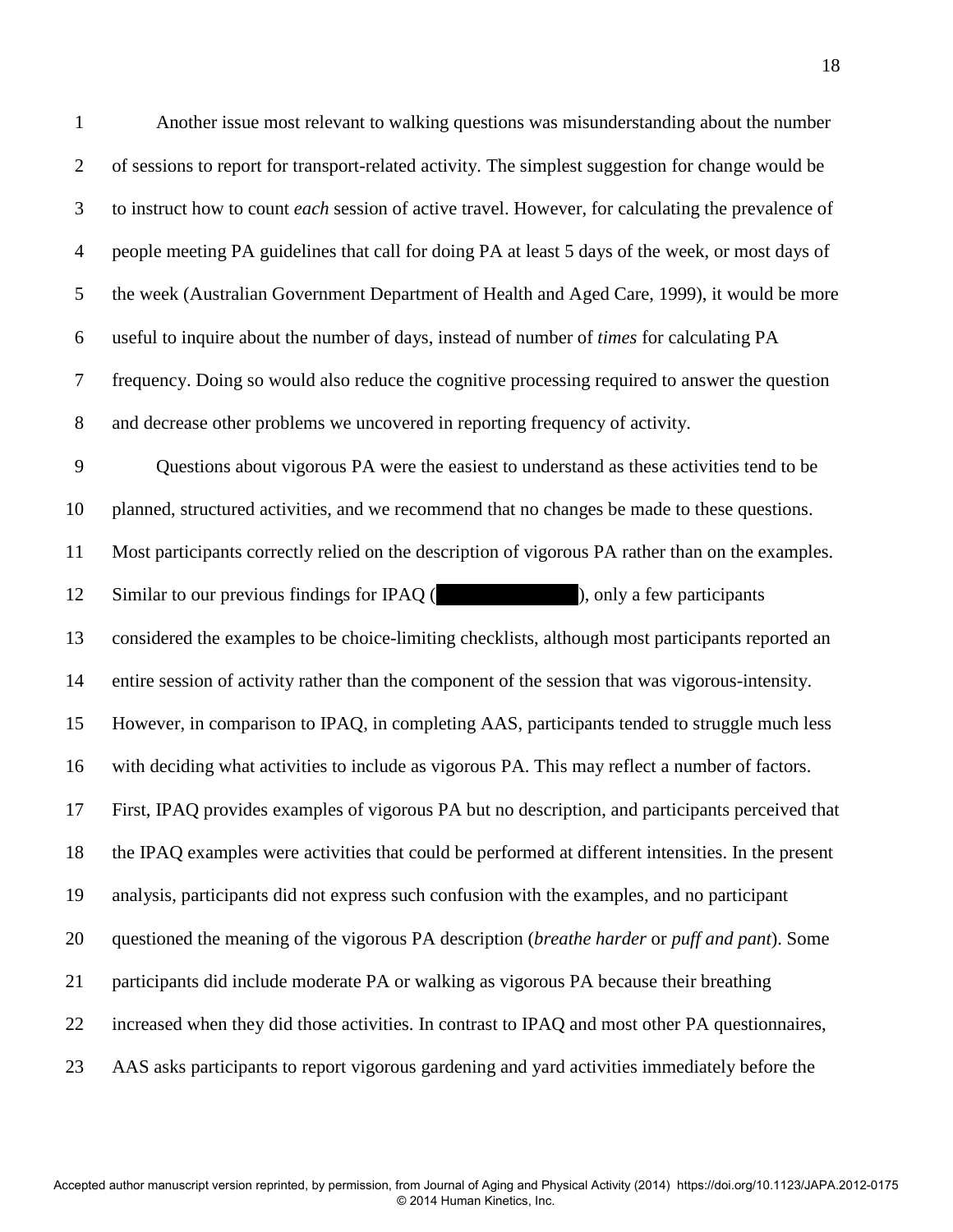1 Another issue most relevant to walking questions was misunderstanding about the number 2 of sessions to report for transport-related activity. The simplest suggestion for change would be 3 to instruct how to count *each* session of active travel. However, for calculating the prevalence of 4 people meeting PA guidelines that call for doing PA at least 5 days of the week, or most days of 5 the week (Australian Government Department of Health and Aged Care, 1999), it would be more 6 useful to inquire about the number of days, instead of number of *times* for calculating PA 7 frequency. Doing so would also reduce the cognitive processing required to answer the question 8 and decrease other problems we uncovered in reporting frequency of activity. 9 Questions about vigorous PA were the easiest to understand as these activities tend to be 10 planned, structured activities, and we recommend that no changes be made to these questions. 11 Most participants correctly relied on the description of vigorous PA rather than on the examples. 12 Similar to our previous findings for IPAQ (helphapic et al., 2010), only a few participants 13 considered the examples to be choice-limiting checklists, although most participants reported an 14 entire session of activity rather than the component of the session that was vigorous-intensity. 15 However, in comparison to IPAQ, in completing AAS, participants tended to struggle much less 16 with deciding what activities to include as vigorous PA. This may reflect a number of factors. 17 First, IPAQ provides examples of vigorous PA but no description, and participants perceived that 18 the IPAQ examples were activities that could be performed at different intensities. In the present 19 analysis, participants did not express such confusion with the examples, and no participant 20 questioned the meaning of the vigorous PA description (*breathe harder* or *puff and pant*). Some 21 participants did include moderate PA or walking as vigorous PA because their breathing 22 increased when they did those activities. In contrast to IPAQ and most other PA questionnaires, 23 AAS asks participants to report vigorous gardening and yard activities immediately before the

© 2014 Human Kinetics, Inc.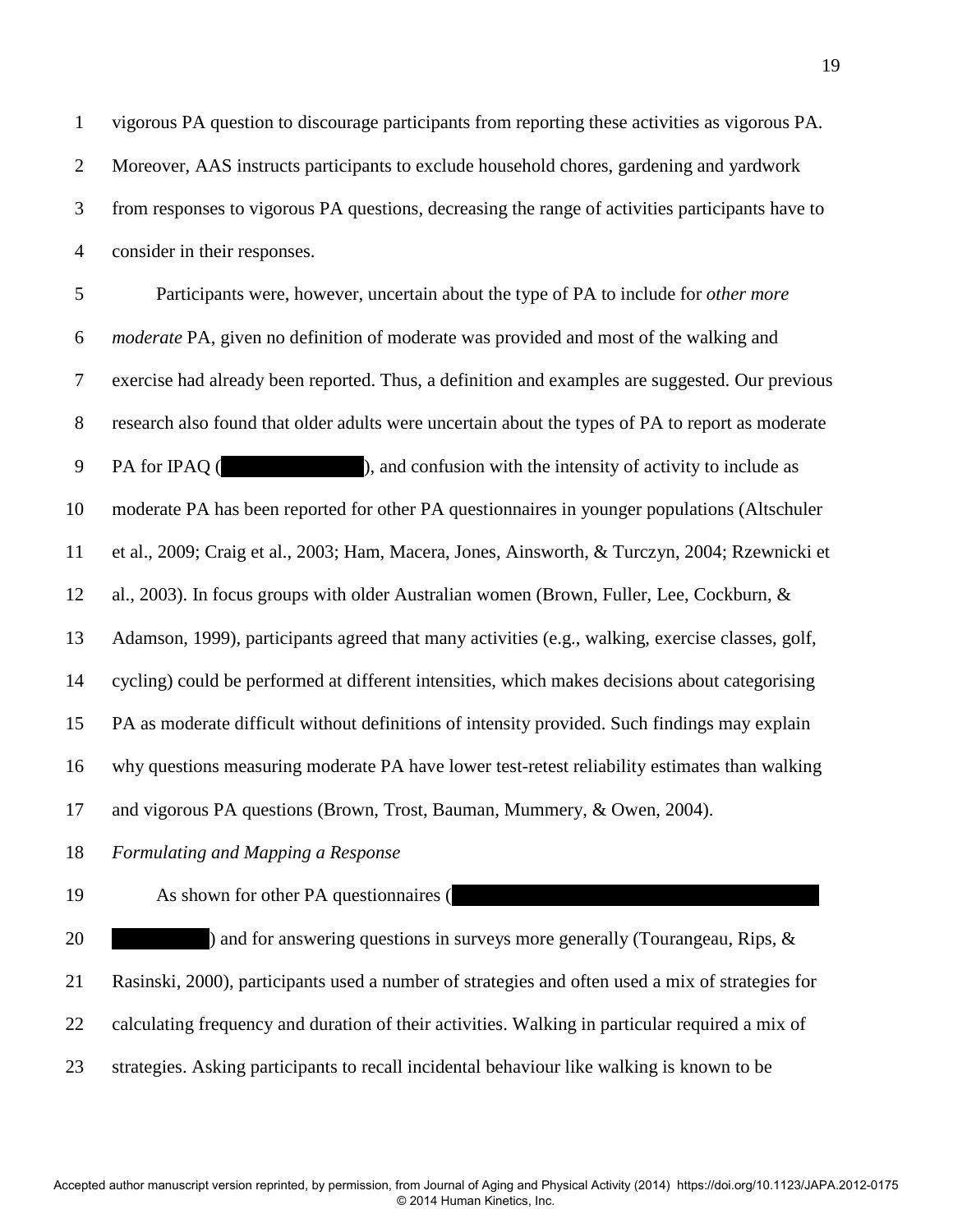3 from responses to vigorous PA questions, decreasing the range of activities participants have to 4 consider in their responses.

5 Participants were, however, uncertain about the type of PA to include for *other more*  6 *moderate* PA, given no definition of moderate was provided and most of the walking and 7 exercise had already been reported. Thus, a definition and examples are suggested. Our previous 8 research also found that older adults were uncertain about the types of PA to report as moderate 9 PA for IPAQ (Separate between et al., 2010), and confusion with the intensity of activity to include as 10 moderate PA has been reported for other PA questionnaires in younger populations (Altschuler 11 et al., 2009; Craig et al., 2003; Ham, Macera, Jones, Ainsworth, & Turczyn, 2004; Rzewnicki et 12 al., 2003). In focus groups with older Australian women (Brown, Fuller, Lee, Cockburn, & 13 Adamson, 1999), participants agreed that many activities (e.g., walking, exercise classes, golf, 14 cycling) could be performed at different intensities, which makes decisions about categorising 15 PA as moderate difficult without definitions of intensity provided. Such findings may explain 16 why questions measuring moderate PA have lower test-retest reliability estimates than walking 17 and vigorous PA questions (Brown, Trost, Bauman, Mummery, & Owen, 2004).

18 *Formulating and Mapping a Response* 

19 As shown for other PA questionnaires (

20 and for answering questions in surveys more generally (Tourangeau, Rips, & 21 Rasinski, 2000), participants used a number of strategies and often used a mix of strategies for 22 calculating frequency and duration of their activities. Walking in particular required a mix of 23 strategies. Asking participants to recall incidental behaviour like walking is known to be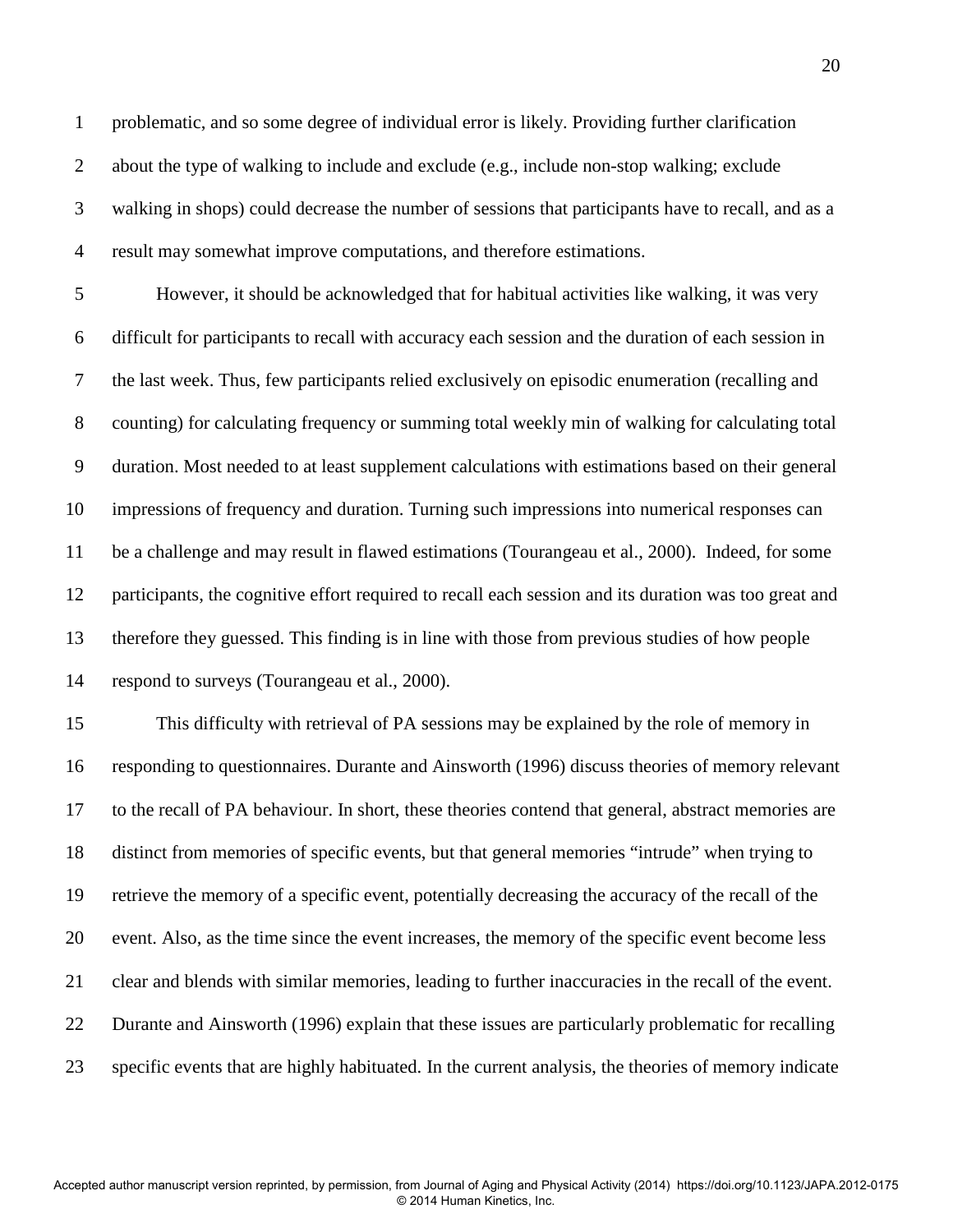1 problematic, and so some degree of individual error is likely. Providing further clarification 2 about the type of walking to include and exclude (e.g., include non-stop walking; exclude 3 walking in shops) could decrease the number of sessions that participants have to recall, and as a 4 result may somewhat improve computations, and therefore estimations.

5 However, it should be acknowledged that for habitual activities like walking, it was very 6 difficult for participants to recall with accuracy each session and the duration of each session in 7 the last week. Thus, few participants relied exclusively on episodic enumeration (recalling and 8 counting) for calculating frequency or summing total weekly min of walking for calculating total 9 duration. Most needed to at least supplement calculations with estimations based on their general 10 impressions of frequency and duration. Turning such impressions into numerical responses can 11 be a challenge and may result in flawed estimations (Tourangeau et al., 2000). Indeed, for some 12 participants, the cognitive effort required to recall each session and its duration was too great and 13 therefore they guessed. This finding is in line with those from previous studies of how people 14 respond to surveys (Tourangeau et al., 2000).

15 This difficulty with retrieval of PA sessions may be explained by the role of memory in 16 responding to questionnaires. Durante and Ainsworth (1996) discuss theories of memory relevant 17 to the recall of PA behaviour. In short, these theories contend that general, abstract memories are 18 distinct from memories of specific events, but that general memories "intrude" when trying to 19 retrieve the memory of a specific event, potentially decreasing the accuracy of the recall of the 20 event. Also, as the time since the event increases, the memory of the specific event become less 21 clear and blends with similar memories, leading to further inaccuracies in the recall of the event. 22 Durante and Ainsworth (1996) explain that these issues are particularly problematic for recalling 23 specific events that are highly habituated. In the current analysis, the theories of memory indicate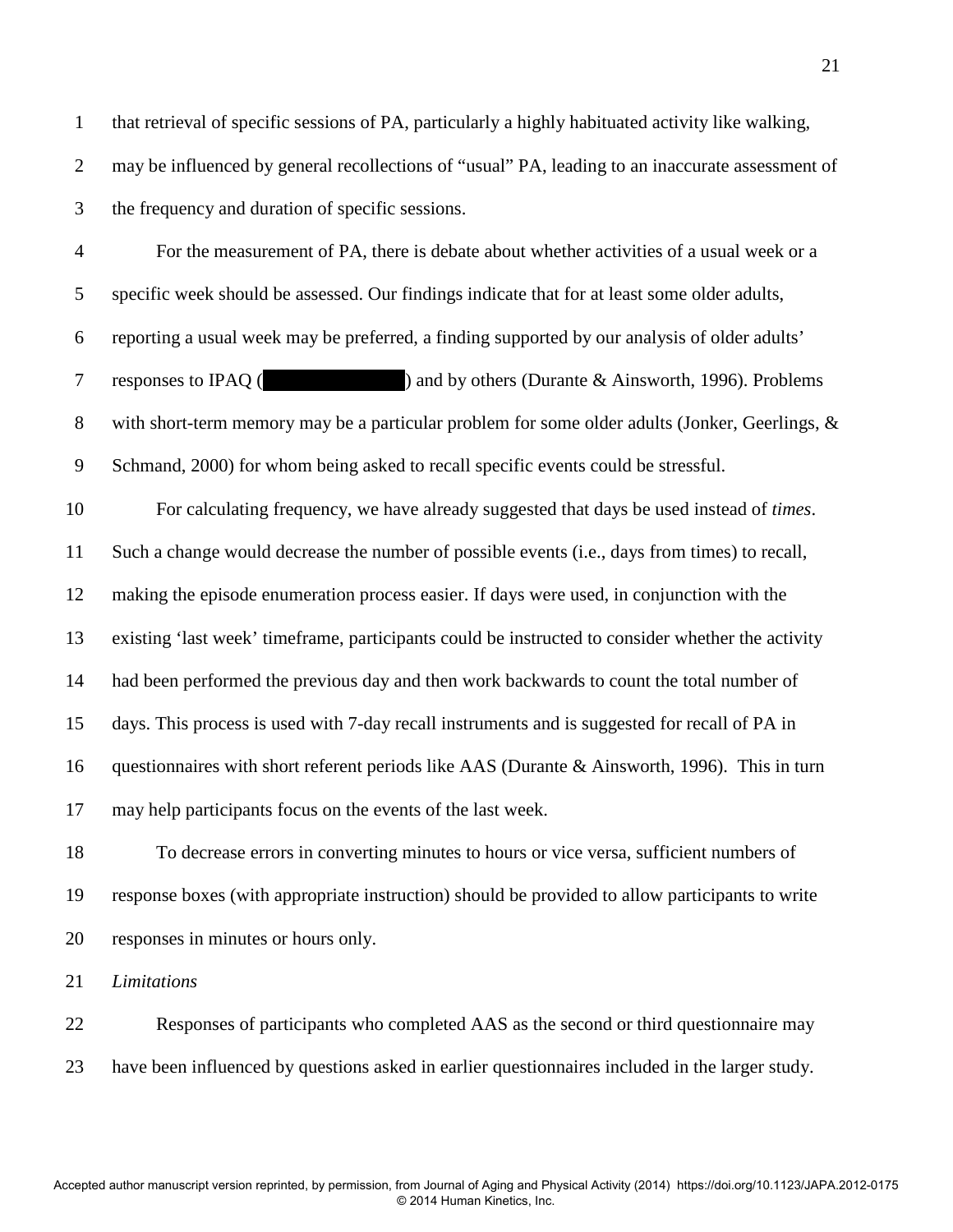1 that retrieval of specific sessions of PA, particularly a highly habituated activity like walking, 2 may be influenced by general recollections of "usual" PA, leading to an inaccurate assessment of 3 the frequency and duration of specific sessions.

4 For the measurement of PA, there is debate about whether activities of a usual week or a 5 specific week should be assessed. Our findings indicate that for at least some older adults, 6 reporting a usual week may be preferred, a finding supported by our analysis of older adults' 7 responses to IPAQ (and by others (Durante & Ainsworth, 1996). Problems 8 with short-term memory may be a particular problem for some older adults (Jonker, Geerlings, & 9 Schmand, 2000) for whom being asked to recall specific events could be stressful. 10 For calculating frequency, we have already suggested that days be used instead of *times*. 11 Such a change would decrease the number of possible events (i.e., days from times) to recall, 12 making the episode enumeration process easier. If days were used, in conjunction with the 13 existing 'last week' timeframe, participants could be instructed to consider whether the activity 14 had been performed the previous day and then work backwards to count the total number of 15 days. This process is used with 7-day recall instruments and is suggested for recall of PA in 16 questionnaires with short referent periods like AAS (Durante & Ainsworth, 1996). This in turn 17 may help participants focus on the events of the last week.

18 To decrease errors in converting minutes to hours or vice versa, sufficient numbers of 19 response boxes (with appropriate instruction) should be provided to allow participants to write 20 responses in minutes or hours only.

21 *Limitations* 

22 Responses of participants who completed AAS as the second or third questionnaire may 23 have been influenced by questions asked in earlier questionnaires included in the larger study.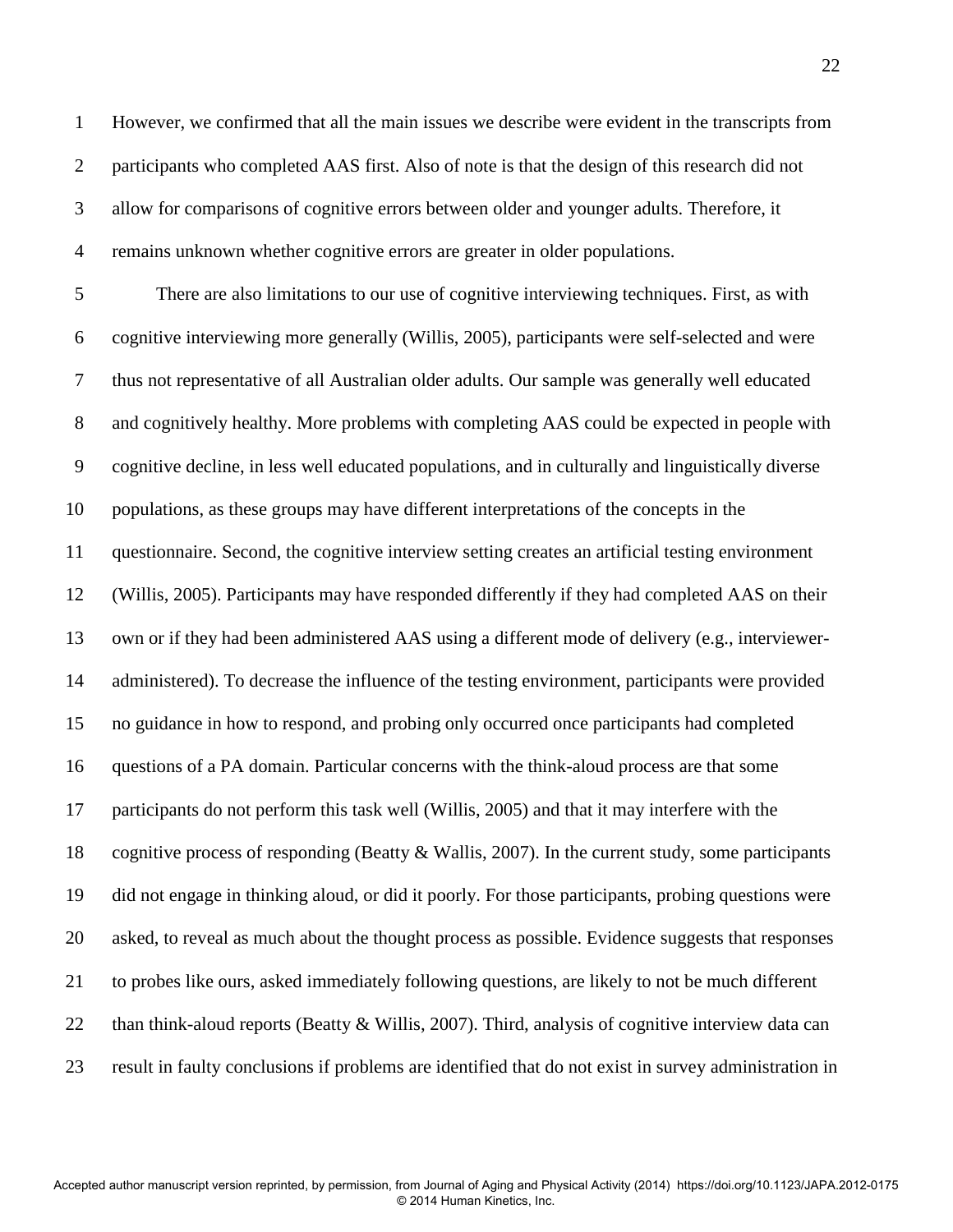1 However, we confirmed that all the main issues we describe were evident in the transcripts from 2 participants who completed AAS first. Also of note is that the design of this research did not 3 allow for comparisons of cognitive errors between older and younger adults. Therefore, it 4 remains unknown whether cognitive errors are greater in older populations.

5 There are also limitations to our use of cognitive interviewing techniques. First, as with 6 cognitive interviewing more generally (Willis, 2005), participants were self-selected and were 7 thus not representative of all Australian older adults. Our sample was generally well educated 8 and cognitively healthy. More problems with completing AAS could be expected in people with 9 cognitive decline, in less well educated populations, and in culturally and linguistically diverse 10 populations, as these groups may have different interpretations of the concepts in the 11 questionnaire. Second, the cognitive interview setting creates an artificial testing environment 12 (Willis, 2005). Participants may have responded differently if they had completed AAS on their 13 own or if they had been administered AAS using a different mode of delivery (e.g., interviewer-14 administered). To decrease the influence of the testing environment, participants were provided 15 no guidance in how to respond, and probing only occurred once participants had completed 16 questions of a PA domain. Particular concerns with the think-aloud process are that some 17 participants do not perform this task well (Willis, 2005) and that it may interfere with the 18 cognitive process of responding (Beatty & Wallis, 2007). In the current study, some participants 19 did not engage in thinking aloud, or did it poorly. For those participants, probing questions were 20 asked, to reveal as much about the thought process as possible. Evidence suggests that responses 21 to probes like ours, asked immediately following questions, are likely to not be much different 22 than think-aloud reports (Beatty & Willis, 2007). Third, analysis of cognitive interview data can 23 result in faulty conclusions if problems are identified that do not exist in survey administration in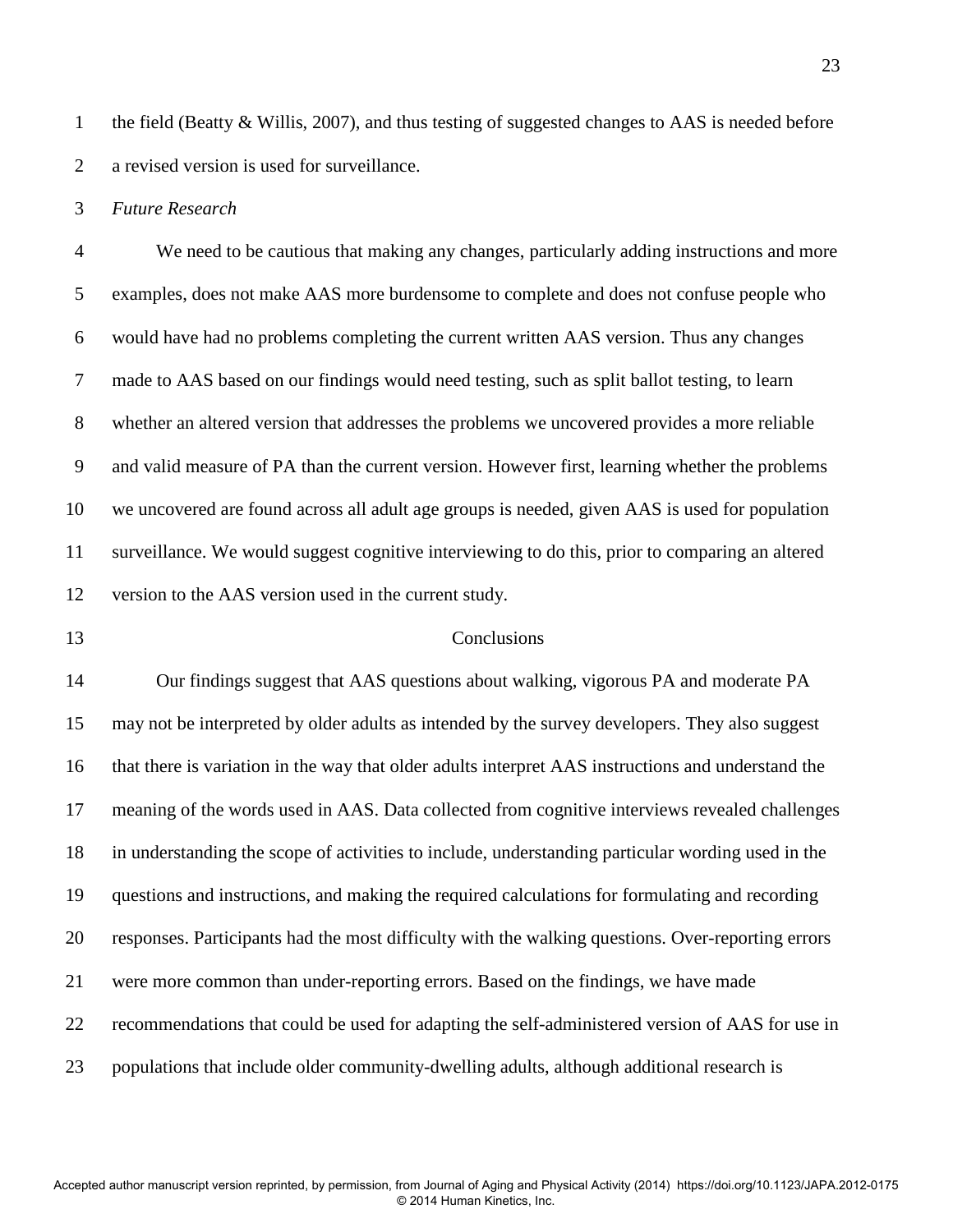1 the field (Beatty & Willis, 2007), and thus testing of suggested changes to AAS is needed before 2 a revised version is used for surveillance.

3 *Future Research*

4 We need to be cautious that making any changes, particularly adding instructions and more 5 examples, does not make AAS more burdensome to complete and does not confuse people who 6 would have had no problems completing the current written AAS version. Thus any changes 7 made to AAS based on our findings would need testing, such as split ballot testing, to learn 8 whether an altered version that addresses the problems we uncovered provides a more reliable 9 and valid measure of PA than the current version. However first, learning whether the problems 10 we uncovered are found across all adult age groups is needed, given AAS is used for population 11 surveillance. We would suggest cognitive interviewing to do this, prior to comparing an altered 12 version to the AAS version used in the current study.

#### 13 Conclusions

14 Our findings suggest that AAS questions about walking, vigorous PA and moderate PA 15 may not be interpreted by older adults as intended by the survey developers. They also suggest 16 that there is variation in the way that older adults interpret AAS instructions and understand the 17 meaning of the words used in AAS. Data collected from cognitive interviews revealed challenges 18 in understanding the scope of activities to include, understanding particular wording used in the 19 questions and instructions, and making the required calculations for formulating and recording 20 responses. Participants had the most difficulty with the walking questions. Over-reporting errors 21 were more common than under-reporting errors. Based on the findings, we have made 22 recommendations that could be used for adapting the self-administered version of AAS for use in 23 populations that include older community-dwelling adults, although additional research is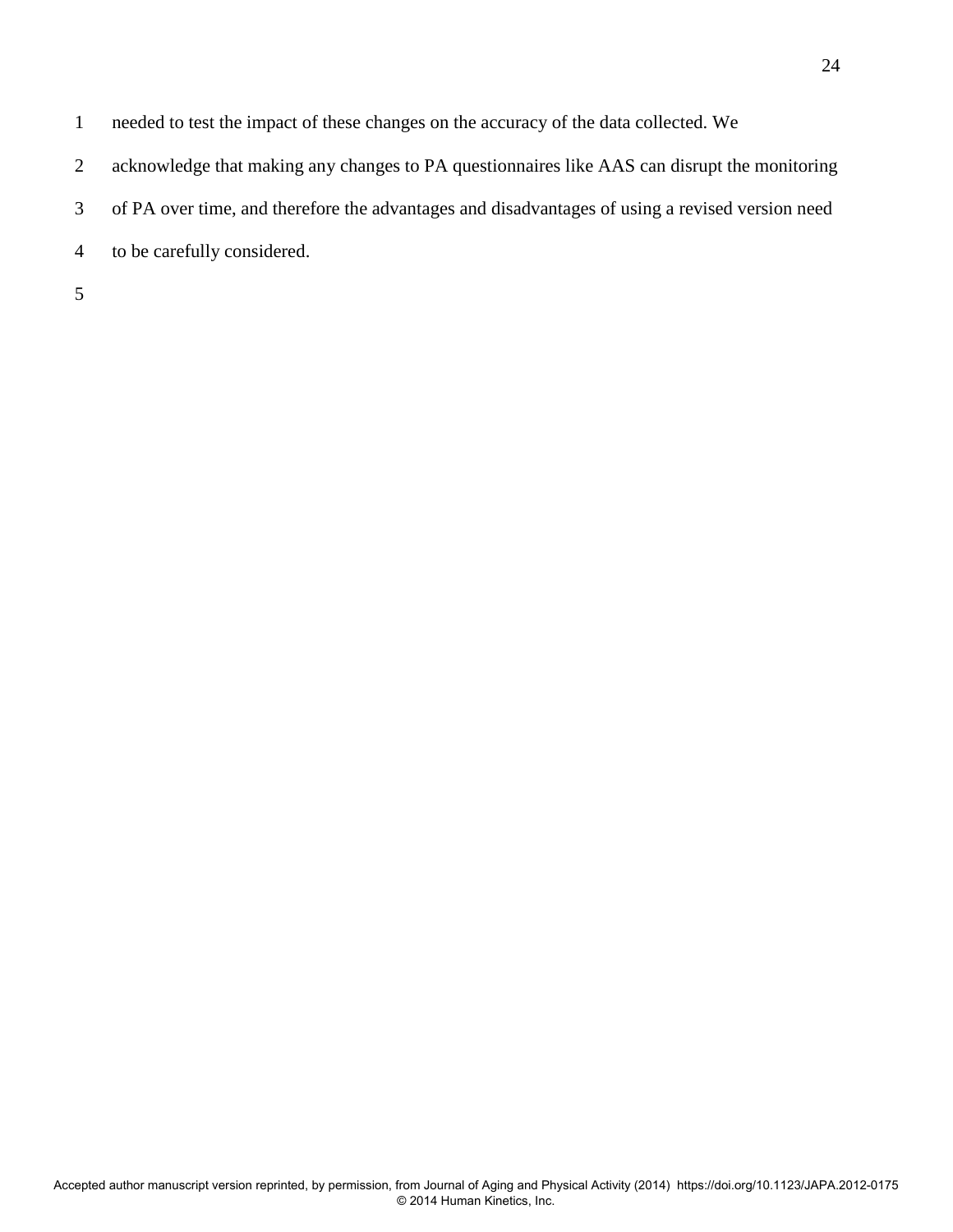- 1 needed to test the impact of these changes on the accuracy of the data collected. We
- 2 acknowledge that making any changes to PA questionnaires like AAS can disrupt the monitoring
- 3 of PA over time, and therefore the advantages and disadvantages of using a revised version need
- 4 to be carefully considered.

5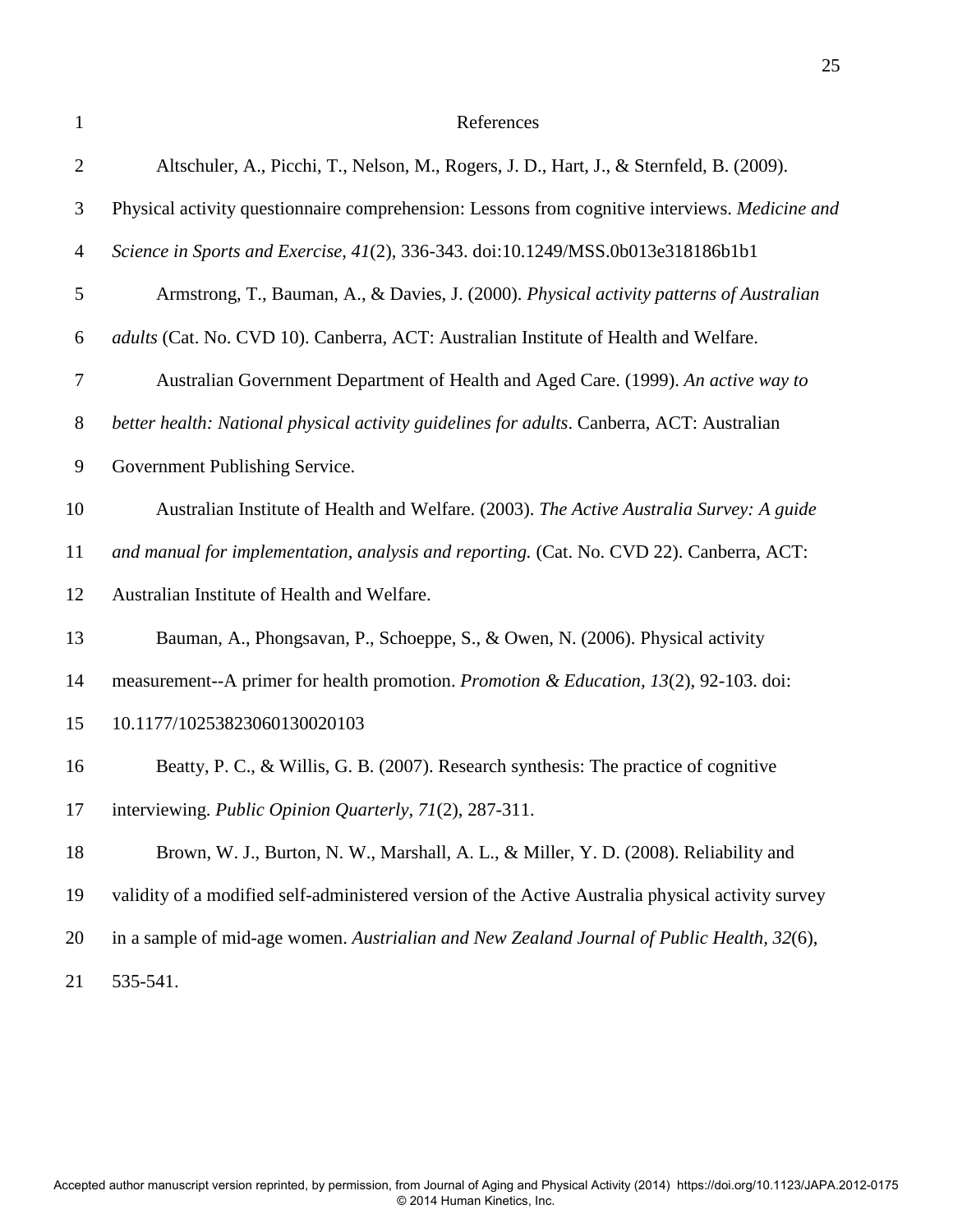| 1                | References                                                                                        |
|------------------|---------------------------------------------------------------------------------------------------|
| $\overline{2}$   | Altschuler, A., Picchi, T., Nelson, M., Rogers, J. D., Hart, J., & Sternfeld, B. (2009).          |
| 3                | Physical activity questionnaire comprehension: Lessons from cognitive interviews. Medicine and    |
| $\overline{4}$   | Science in Sports and Exercise, 41(2), 336-343. doi:10.1249/MSS.0b013e318186b1b1                  |
| 5                | Armstrong, T., Bauman, A., & Davies, J. (2000). Physical activity patterns of Australian          |
| 6                | adults (Cat. No. CVD 10). Canberra, ACT: Australian Institute of Health and Welfare.              |
| $\tau$           | Australian Government Department of Health and Aged Care. (1999). An active way to                |
| $8\phantom{.}$   | better health: National physical activity guidelines for adults. Canberra, ACT: Australian        |
| $\boldsymbol{9}$ | Government Publishing Service.                                                                    |
| 10               | Australian Institute of Health and Welfare. (2003). The Active Australia Survey: A guide          |
| 11               | and manual for implementation, analysis and reporting. (Cat. No. CVD 22). Canberra, ACT:          |
| 12               | Australian Institute of Health and Welfare.                                                       |
| 13               | Bauman, A., Phongsavan, P., Schoeppe, S., & Owen, N. (2006). Physical activity                    |
| 14               | measurement--A primer for health promotion. Promotion & Education, 13(2), 92-103. doi:            |
| 15               | 10.1177/10253823060130020103                                                                      |
| 16               | Beatty, P. C., & Willis, G. B. (2007). Research synthesis: The practice of cognitive              |
| 17               | interviewing. Public Opinion Quarterly, 71(2), 287-311.                                           |
| 18               | Brown, W. J., Burton, N. W., Marshall, A. L., & Miller, Y. D. (2008). Reliability and             |
| 19               | validity of a modified self-administered version of the Active Australia physical activity survey |
| 20               | in a sample of mid-age women. Austrialian and New Zealand Journal of Public Health, 32(6),        |
| 21               | 535-541.                                                                                          |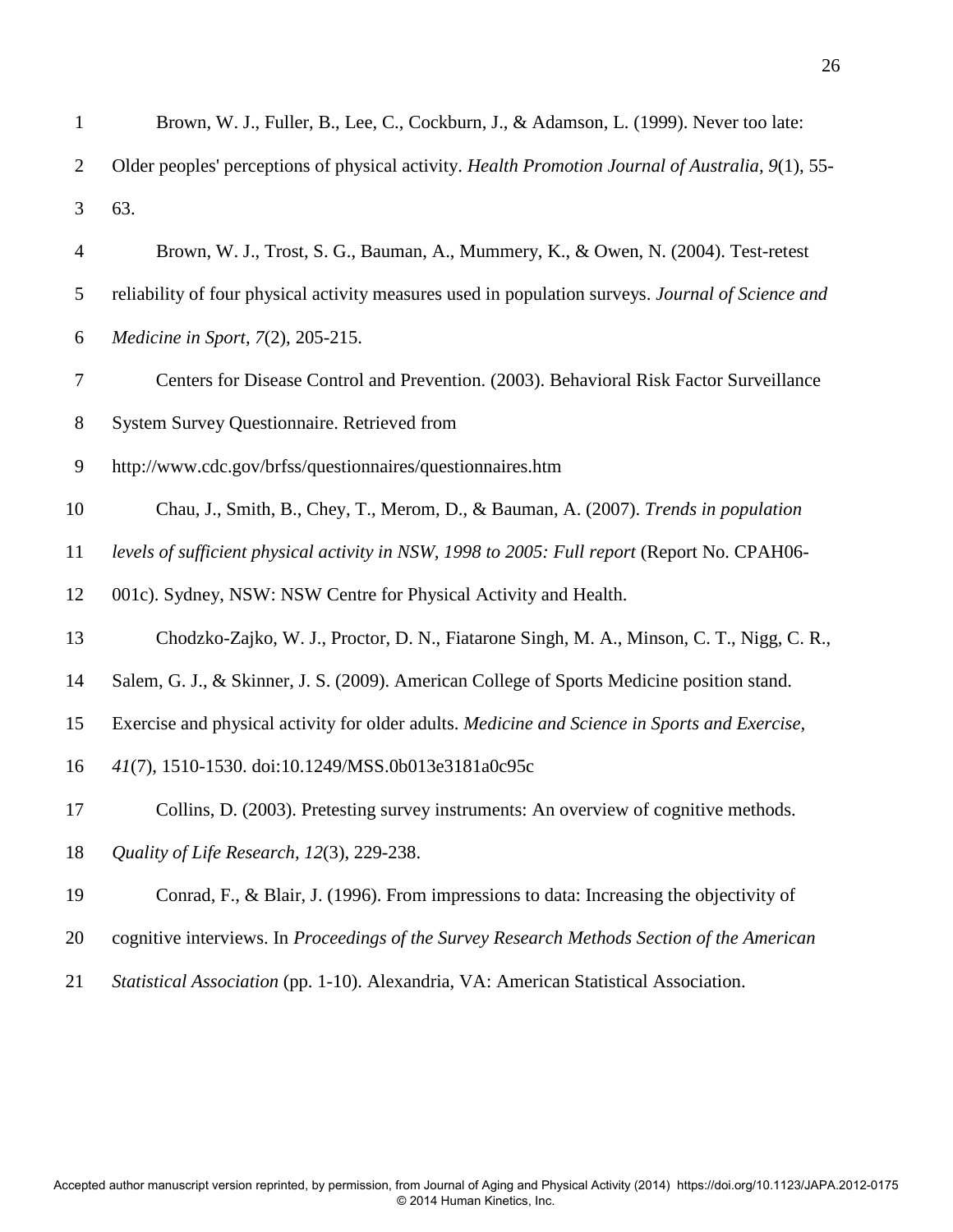| $\mathbf{1}$   | Brown, W. J., Fuller, B., Lee, C., Cockburn, J., & Adamson, L. (1999). Never too late:            |
|----------------|---------------------------------------------------------------------------------------------------|
| $\overline{2}$ | Older peoples' perceptions of physical activity. Health Promotion Journal of Australia, 9(1), 55- |
| 3              | 63.                                                                                               |
| $\overline{4}$ | Brown, W. J., Trost, S. G., Bauman, A., Mummery, K., & Owen, N. (2004). Test-retest               |
| 5              | reliability of four physical activity measures used in population surveys. Journal of Science and |
| 6              | Medicine in Sport, 7(2), 205-215.                                                                 |
| 7              | Centers for Disease Control and Prevention. (2003). Behavioral Risk Factor Surveillance           |
| $8\,$          | System Survey Questionnaire. Retrieved from                                                       |
| 9              | http://www.cdc.gov/brfss/questionnaires/questionnaires.htm                                        |
| 10             | Chau, J., Smith, B., Chey, T., Merom, D., & Bauman, A. (2007). Trends in population               |
| 11             | levels of sufficient physical activity in NSW, 1998 to 2005: Full report (Report No. CPAH06-      |
| 12             | 001c). Sydney, NSW: NSW Centre for Physical Activity and Health.                                  |
| 13             | Chodzko-Zajko, W. J., Proctor, D. N., Fiatarone Singh, M. A., Minson, C. T., Nigg, C. R.,         |
| 14             | Salem, G. J., & Skinner, J. S. (2009). American College of Sports Medicine position stand.        |
| 15             | Exercise and physical activity for older adults. Medicine and Science in Sports and Exercise,     |
| 16             | 41(7), 1510-1530. doi:10.1249/MSS.0b013e3181a0c95c                                                |
| 17             | Collins, D. (2003). Pretesting survey instruments: An overview of cognitive methods.              |
| 18             | Quality of Life Research, 12(3), 229-238.                                                         |
| 19             | Conrad, F., & Blair, J. (1996). From impressions to data: Increasing the objectivity of           |
| 20             | cognitive interviews. In Proceedings of the Survey Research Methods Section of the American       |
| 21             | Statistical Association (pp. 1-10). Alexandria, VA: American Statistical Association.             |
|                |                                                                                                   |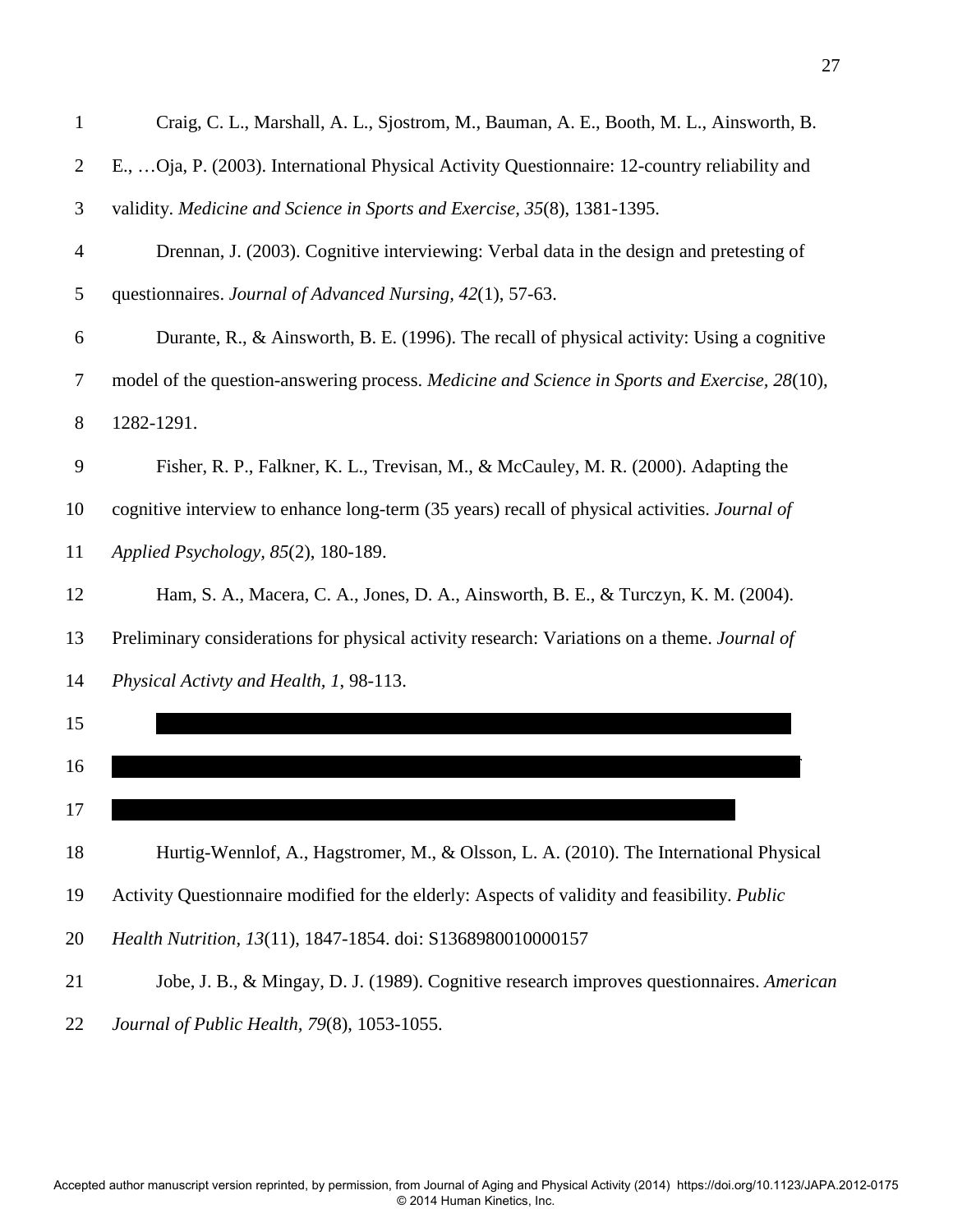| 1              | Craig, C. L., Marshall, A. L., Sjostrom, M., Bauman, A. E., Booth, M. L., Ainsworth, B.        |
|----------------|------------------------------------------------------------------------------------------------|
| $\overline{2}$ | E.,  Oja, P. (2003). International Physical Activity Questionnaire: 12-country reliability and |
| 3              | validity. Medicine and Science in Sports and Exercise, 35(8), 1381-1395.                       |
| $\overline{4}$ | Drennan, J. (2003). Cognitive interviewing: Verbal data in the design and pretesting of        |
| 5              | questionnaires. Journal of Advanced Nursing, 42(1), 57-63.                                     |
| 6              | Durante, R., & Ainsworth, B. E. (1996). The recall of physical activity: Using a cognitive     |
| 7              | model of the question-answering process. Medicine and Science in Sports and Exercise, 28(10),  |
| $8\phantom{.}$ | 1282-1291.                                                                                     |
| 9              | Fisher, R. P., Falkner, K. L., Trevisan, M., & McCauley, M. R. (2000). Adapting the            |
| 10             | cognitive interview to enhance long-term (35 years) recall of physical activities. Journal of  |
| 11             | Applied Psychology, 85(2), 180-189.                                                            |
| 12             | Ham, S. A., Macera, C. A., Jones, D. A., Ainsworth, B. E., & Turczyn, K. M. (2004).            |
| 13             | Preliminary considerations for physical activity research: Variations on a theme. Journal of   |
| 14             | Physical Activty and Health, 1, 98-113.                                                        |
| 15             |                                                                                                |
| 16             |                                                                                                |
| 17             |                                                                                                |
| 18             | Hurtig-Wennlof, A., Hagstromer, M., & Olsson, L. A. (2010). The International Physical         |
| 19             | Activity Questionnaire modified for the elderly: Aspects of validity and feasibility. Public   |
| 20             | Health Nutrition, 13(11), 1847-1854. doi: S1368980010000157                                    |
| 21             | Jobe, J. B., & Mingay, D. J. (1989). Cognitive research improves questionnaires. American      |
| 22             | Journal of Public Health, 79(8), 1053-1055.                                                    |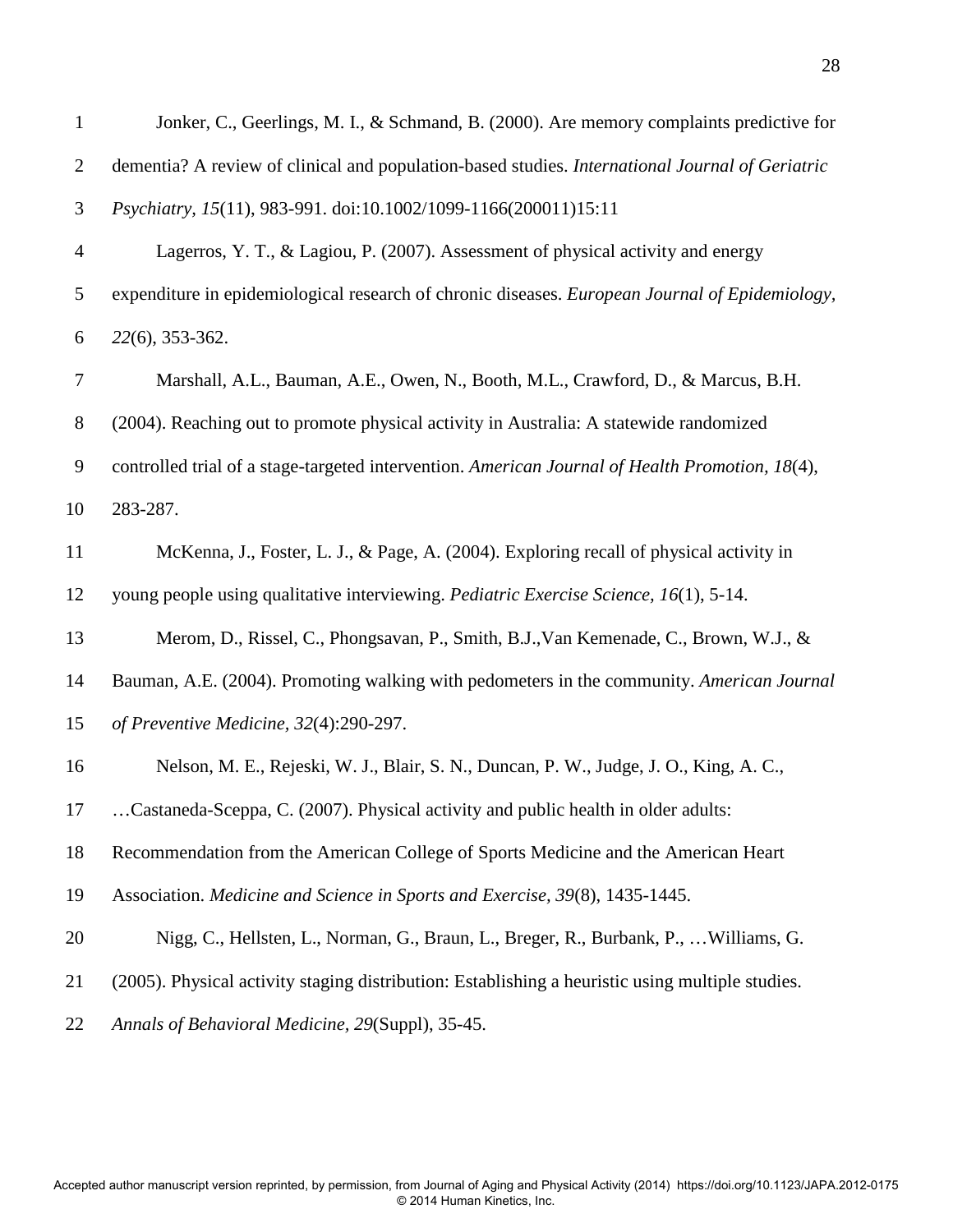| $\mathbf{1}$   | Jonker, C., Geerlings, M. I., & Schmand, B. (2000). Are memory complaints predictive for         |
|----------------|--------------------------------------------------------------------------------------------------|
| $\overline{2}$ | dementia? A review of clinical and population-based studies. International Journal of Geriatric  |
| 3              | Psychiatry, 15(11), 983-991. doi:10.1002/1099-1166(200011)15:11                                  |
| $\overline{4}$ | Lagerros, Y. T., & Lagiou, P. (2007). Assessment of physical activity and energy                 |
| 5              | expenditure in epidemiological research of chronic diseases. European Journal of Epidemiology,   |
| 6              | 22(6), 353-362.                                                                                  |
| 7              | Marshall, A.L., Bauman, A.E., Owen, N., Booth, M.L., Crawford, D., & Marcus, B.H.                |
| $8\,$          | (2004). Reaching out to promote physical activity in Australia: A statewide randomized           |
| 9              | controlled trial of a stage-targeted intervention. American Journal of Health Promotion, 18(4),  |
| 10             | 283-287.                                                                                         |
| 11             | McKenna, J., Foster, L. J., & Page, A. (2004). Exploring recall of physical activity in          |
| 12             | young people using qualitative interviewing. Pediatric Exercise Science, 16(1), 5-14.            |
| 13             | Merom, D., Rissel, C., Phongsavan, P., Smith, B.J., Van Kemenade, C., Brown, W.J., &             |
| 14             | Bauman, A.E. (2004). Promoting walking with pedometers in the community. American Journal        |
| 15             | of Preventive Medicine, 32(4):290-297.                                                           |
| 16             | Nelson, M. E., Rejeski, W. J., Blair, S. N., Duncan, P. W., Judge, J. O., King, A. C.,           |
| 17             | Castaneda-Sceppa, C. (2007). Physical activity and public health in older adults:                |
| 18             | Recommendation from the American College of Sports Medicine and the American Heart               |
| 19             | Association. Medicine and Science in Sports and Exercise, 39(8), 1435-1445.                      |
| 20             | Nigg, C., Hellsten, L., Norman, G., Braun, L., Breger, R., Burbank, P.,  Williams, G.            |
| 21             | (2005). Physical activity staging distribution: Establishing a heuristic using multiple studies. |
| 22             | Annals of Behavioral Medicine, 29(Suppl), 35-45.                                                 |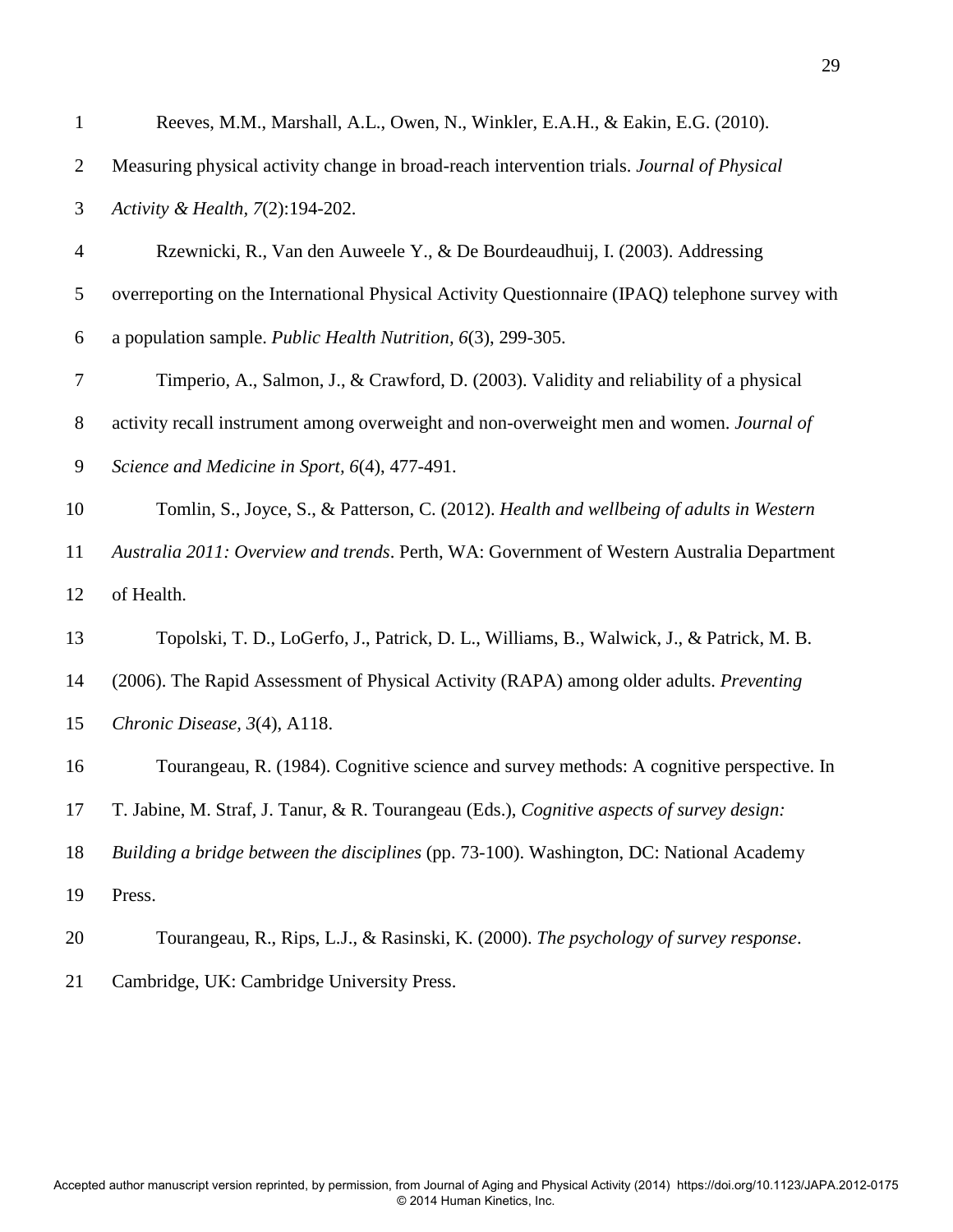| $\mathbf{1}$   | Reeves, M.M., Marshall, A.L., Owen, N., Winkler, E.A.H., & Eakin, E.G. (2010).                  |
|----------------|-------------------------------------------------------------------------------------------------|
| $\overline{2}$ | Measuring physical activity change in broad-reach intervention trials. Journal of Physical      |
| 3              | Activity & Health, 7(2):194-202.                                                                |
| 4              | Rzewnicki, R., Van den Auweele Y., & De Bourdeaudhuij, I. (2003). Addressing                    |
| 5              | overreporting on the International Physical Activity Questionnaire (IPAQ) telephone survey with |
| 6              | a population sample. Public Health Nutrition, 6(3), 299-305.                                    |
| 7              | Timperio, A., Salmon, J., & Crawford, D. (2003). Validity and reliability of a physical         |
| $8\,$          | activity recall instrument among overweight and non-overweight men and women. Journal of        |
| 9              | Science and Medicine in Sport, 6(4), 477-491.                                                   |
| 10             | Tomlin, S., Joyce, S., & Patterson, C. (2012). Health and wellbeing of adults in Western        |
| 11             | Australia 2011: Overview and trends. Perth, WA: Government of Western Australia Department      |
| 12             | of Health.                                                                                      |
| 13             | Topolski, T. D., LoGerfo, J., Patrick, D. L., Williams, B., Walwick, J., & Patrick, M. B.       |
| 14             | (2006). The Rapid Assessment of Physical Activity (RAPA) among older adults. Preventing         |
| 15             | Chronic Disease, 3(4), A118.                                                                    |
| 16             | Tourangeau, R. (1984). Cognitive science and survey methods: A cognitive perspective. In        |
| 17             | T. Jabine, M. Straf, J. Tanur, & R. Tourangeau (Eds.), Cognitive aspects of survey design:      |
| 18             | Building a bridge between the disciplines (pp. 73-100). Washington, DC: National Academy        |
| 19             | Press.                                                                                          |
| 20             | Tourangeau, R., Rips, L.J., & Rasinski, K. (2000). The psychology of survey response.           |

21 Cambridge, UK: Cambridge University Press.